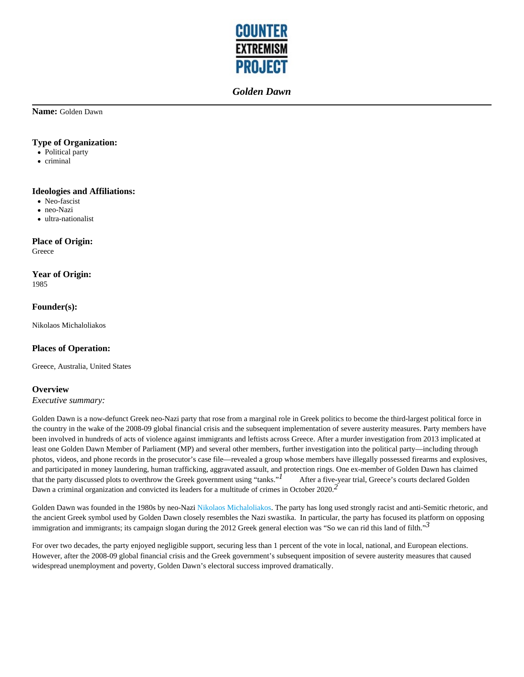

**Name:** Golden Dawn

#### **Type of Organization:**

- Political party
- criminal

### **Ideologies and Affiliations:**

- Neo-fascist
- neo-Nazi
- ultra-nationalist

## **Place of Origin:**

Greece

# **Year of Origin:**

1985

### **Founder(s):**

Nikolaos Michaloliakos

## **Places of Operation:**

Greece, Australia, United States

### **Overview**

*Executive summary:*

Golden Dawn is a now-defunct Greek neo-Nazi party that rose from a marginal role in Greek politics to become the third-largest political force in the country in the wake of the 2008-09 global financial crisis and the subsequent implementation of severe austerity measures. Party members have been involved in hundreds of acts of violence against immigrants and leftists across Greece. After a murder investigation from 2013 implicated at least one Golden Dawn Member of Parliament (MP) and several other members, further investigation into the political party—including through photos, videos, and phone records in the prosecutor's case file—revealed a group whose members have illegally possessed firearms and explosives, and participated in money laundering, human trafficking, aggravated assault, and protection rings. One ex-member of Golden Dawn has claimed that the party discussed plots to overthrow the Greek government using "tanks."<sup>1</sup> After a five-year trial, Greece's courts declared Golden Dawn a criminal organization and convicted its leaders for a multitude of crimes in October 2020.*2* 

Golden Dawn was founded in the 1980s by neo-Nazi Nikolaos Michaloliakos. The party has long used strongly racist and anti-Semitic rhetoric, and the ancient Greek symbol used by Golden Dawn closely resembles the Nazi swastika. In particular, the party has focused its platform on opposing immigration and immigrants; its campaign slogan during the 2012 Greek general election was "So we can rid this land of filth."*3* 

For over two decades, the party enjoyed negligible support, securing less than 1 percent of the vote in local, national, and European elections. However, after the 2008-09 global financial crisis and the Greek government's subsequent imposition of severe austerity measures that caused widespread unemployment and poverty, Golden Dawn's electoral success improved dramatically.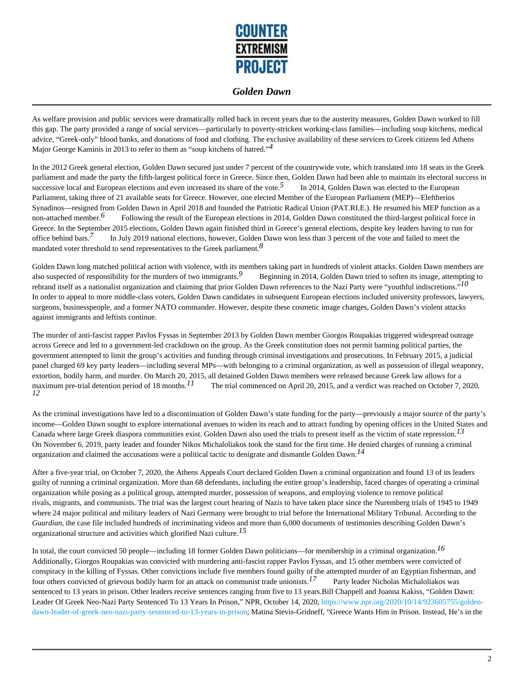

As welfare provision and public services were dramatically rolled back in recent years due to the austerity measures, Golden Dawn worked to fill this gap. The party provided a range of social services—particularly to poverty-stricken working-class families—including soup kitchens, medical advice, "Greek-only" blood banks, and donations of food and clothing. The exclusive availability of these services to Greek citizens led Athens Major George Kaminis in 2013 to refer to them as "soup kitchens of hatred."*4* 

In the 2012 Greek general election, Golden Dawn secured just under 7 percent of the countrywide vote, which translated into 18 seats in the Greek parliament and made the party the fifth-largest political force in Greece. Since then, Golden Dawn had been able to maintain its electoral success in successive local and European elections and even increased its share of the vote.<sup>5</sup> In 2014, Golden Dawn was elected to the European Parliament, taking three of 21 available seats for Greece. However, one elected Member of the European Parliament (MEP)—Eleftherios Synadinos—resigned from Golden Dawn in April 2018 and founded the Patriotic Radical Union (PAT.RI.E.). He resumed his MEP function as a non-attached member.<sup>6</sup> Following the result of the European elections in 2014, Golden Dawn constituted the third-largest political force in Greece. In the September 2015 elections, Golden Dawn again finished third in Greece's general elections, despite key leaders having to run for office behind bars.*7* In July 2019 national elections, however, Golden Dawn won less than 3 percent of the vote and failed to meet the mandated voter threshold to send representatives to the Greek parliament.*8* 

Golden Dawn long matched political action with violence, with its members taking part in hundreds of violent attacks. Golden Dawn members are also suspected of responsibility for the murders of two immigrants.<sup>9</sup> Beginning in 2014, Golden Dawn tried to soften its image, attempting to rebrand itself as a nationalist organization and claiming that prior Golden Dawn references to the Nazi Party were "youthful indiscretions."*10*  In order to appeal to more middle-class voters, Golden Dawn candidates in subsequent European elections included university professors, lawyers, surgeons, businesspeople, and a former NATO commander. However, despite these cosmetic image changes, Golden Dawn's violent attacks against immigrants and leftists continue.

The murder of anti-fascist rapper Pavlos Fyssas in September 2013 by Golden Dawn member Giorgos Roupakias triggered widespread outrage across Greece and led to a government-led crackdown on the group. As the Greek constitution does not permit banning political parties, the government attempted to limit the group's activities and funding through criminal investigations and prosecutions. In February 2015, a judicial panel charged 69 key party leaders—including several MPs—with belonging to a criminal organization, as well as possession of illegal weaponry, extortion, bodily harm, and murder. On March 20, 2015, all detained Golden Dawn members were released because Greek law allows for a maximum pre-trial detention period of 18 months.<sup>11</sup> The trial commenced on April 20, 2015, and a verdict was reached on October 7, 2020. *12* 

As the criminal investigations have led to a discontinuation of Golden Dawn's state funding for the party—previously a major source of the party's income—Golden Dawn sought to explore international avenues to widen its reach and to attract funding by opening offices in the United States and Canada where large Greek diaspora communities exist. Golden Dawn also used the trials to present itself as the victim of state repression.*13*  On November 6, 2019, party leader and founder Nikos Michaloliakos took the stand for the first time. He denied charges of running a criminal organization and claimed the accusations were a political tactic to denigrate and dismantle Golden Dawn.*14* 

After a five-year trial, on October 7, 2020, the Athens Appeals Court declared Golden Dawn a criminal organization and found 13 of its leaders guilty of running a criminal organization. More than 68 defendants, including the entire group's leadership, faced charges of operating a criminal organization while posing as a political group, attempted murder, possession of weapons, and employing violence to remove political rivals, migrants, and communists. The trial was the largest court hearing of Nazis to have taken place since the Nuremberg trials of 1945 to 1949 where 24 major political and military leaders of Nazi Germany were brought to trial before the International Military Tribunal. According to the *Guardian*, the case file included hundreds of incriminating videos and more than 6,000 documents of testimonies describing Golden Dawn's organizational structure and activities which glorified Nazi culture.*15* 

In total, the court convicted 50 people—including 18 former Golden Dawn politicians—for membership in a criminal organization.*16*  Additionally, Giorgos Roupakias was convicted with murdering anti-fascist rapper Pavlos Fyssas, and 15 other members were convicted of conspiracy in the killing of Fyssas. Other convictions include five members found guilty of the attempted murder of an Egyptian fisherman, and four others convicted of grievous bodily harm for an attack on communist trade unionists.<sup>17</sup> Party leader Nicholas Michaloliakos was sentenced to 13 years in prison. Other leaders receive sentences ranging from five to 13 years.Bill Chappell and Joanna Kakiss, "Golden Dawn: Leader Of Greek Neo-Nazi Party Sentenced To 13 Years In Prison," NPR, October 14, 2020, https://www.npr.org/2020/10/14/923605755/goldendawn-leader-of-greek-neo-nazi-party-sentenced-to-13-years-in-prison; Matina Stevis-Gridneff, "Greece Wants Him in Prison. Instead, He's in the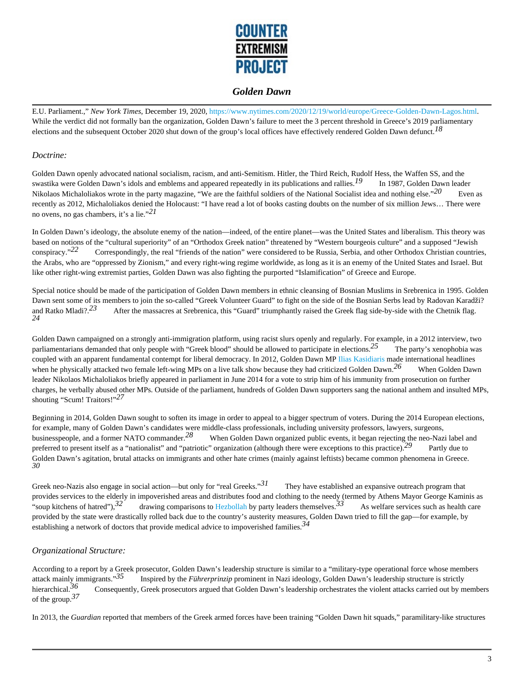

E.U. Parliament.," *New York Times*, December 19, 2020, https://www.nytimes.com/2020/12/19/world/europe/Greece-Golden-Dawn-Lagos.html. While the verdict did not formally ban the organization, Golden Dawn's failure to meet the 3 percent threshold in Greece's 2019 parliamentary elections and the subsequent October 2020 shut down of the group's local offices have effectively rendered Golden Dawn defunct.*18* 

#### *Doctrine:*

Golden Dawn openly advocated national socialism, racism, and anti-Semitism. Hitler, the Third Reich, Rudolf Hess, the Waffen SS, and the swastika were Golden Dawn's idols and emblems and appeared repeatedly in its publications and rallies.<sup>19</sup> In 1987, Golden Dawn leader Nikolaos Michaloliakos wrote in the party magazine, "We are the faithful soldiers of the National Socialist idea and nothing else."<sup>20</sup> Even as recently as 2012, Michaloliakos denied the Holocaust: "I have read a lot of books casting doubts on the number of six million Jews… There were no ovens, no gas chambers, it's a lie."*21* 

In Golden Dawn's ideology, the absolute enemy of the nation—indeed, of the entire planet—was the United States and liberalism. This theory was based on notions of the "cultural superiority" of an "Orthodox Greek nation" threatened by "Western bourgeois culture" and a supposed "Jewish conspiracy."<sup>22</sup> Correspondingly, the real "friends of the nation" were considered to be Russia, Serbia, and other Orthodox Christian countries, the Arabs, who are "oppressed by Zionism," and every right-wing regime worldwide, as long as it is an enemy of the United States and Israel. But like other right-wing extremist parties, Golden Dawn was also fighting the purported "Islamification" of Greece and Europe.

Special notice should be made of the participation of Golden Dawn members in ethnic cleansing of Bosnian Muslims in Srebrenica in 1995. Golden Dawn sent some of its members to join the so-called "Greek Volunteer Guard" to fight on the side of the Bosnian Serbs lead by Radovan Karadži? and Ratko Mladi?.<sup>23</sup> After the massacres at Srebrenica, this "Guard" triumphantly raised the Greek flag side-by-side with the Chetnik flag. *24* 

Golden Dawn campaigned on a strongly anti-immigration platform, using racist slurs openly and regularly. For example, in a 2012 interview, two parliamentarians demanded that only people with "Greek blood" should be allowed to participate in elections.<sup>25</sup> The party's xenophobia was coupled with an apparent fundamental contempt for liberal democracy. In 2012, Golden Dawn MP Ilias Kasidiaris made international headlines when he physically attacked two female left-wing MPs on a live talk show because they had criticized Golden Dawn.<sup>26</sup> When Golden Dawn leader Nikolaos Michaloliakos briefly appeared in parliament in June 2014 for a vote to strip him of his immunity from prosecution on further charges, he verbally abused other MPs. Outside of the parliament, hundreds of Golden Dawn supporters sang the national anthem and insulted MPs, shouting "Scum! Traitors!"*27* 

Beginning in 2014, Golden Dawn sought to soften its image in order to appeal to a bigger spectrum of voters. During the 2014 European elections, for example, many of Golden Dawn's candidates were middle-class professionals, including university professors, lawyers, surgeons, businesspeople, and a former NATO commander.*28* When Golden Dawn organized public events, it began rejecting the neo-Nazi label and preferred to present itself as a "nationalist" and "patriotic" organization (although there were exceptions to this practice).*29* Partly due to Golden Dawn's agitation, brutal attacks on immigrants and other hate crimes (mainly against leftists) became common phenomena in Greece. *30* 

Greek neo-Nazis also engage in social action—but only for "real Greeks."<sup>31</sup> They have established an expansive outreach program that provides services to the elderly in impoverished areas and distributes food and clothing to the needy (termed by Athens Mayor George Kaminis as "soup kitchens of hatred"),<sup>32</sup> drawing comparisons to Hezbollah by party leaders themselves.<sup>33</sup> As welfare services such as health care provided by the state were drastically rolled back due to the country's austerity measures, Golden Dawn tried to fill the gap—for example, by establishing a network of doctors that provide medical advice to impoverished families.*34* 

### *Organizational Structure:*

According to a report by a Greek prosecutor, Golden Dawn's leadership structure is similar to a "military-type operational force whose members attack mainly immigrants."*35* Inspired by the *Führerprinzip* prominent in Nazi ideology*,* Golden Dawn's leadership structure is strictly hierarchical.<sup>30</sup> Consequently, Greek prosecutors argued that Golden Dawn's leadership orchestrates the violent attacks carried out by members of the group.*37* 

In 2013, the *Guardian* reported that members of the Greek armed forces have been training "Golden Dawn hit squads," paramilitary-like structures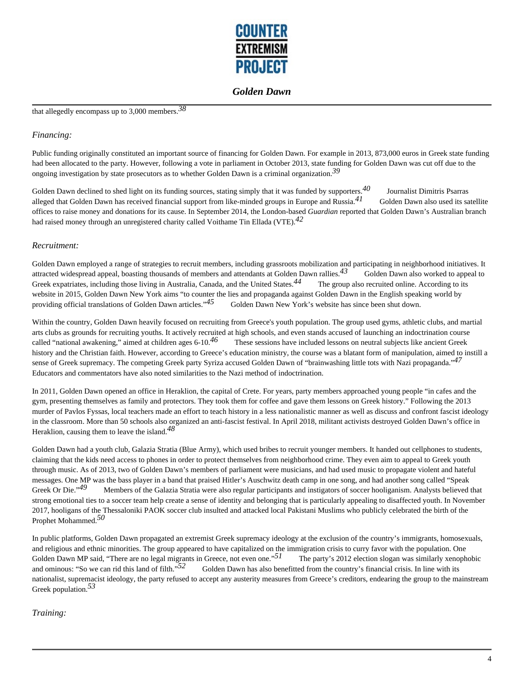

# that allegedly encompass up to 3,000 members.*38*

#### *Financing:*

Public funding originally constituted an important source of financing for Golden Dawn. For example in 2013, 873,000 euros in Greek state funding had been allocated to the party. However, following a vote in parliament in October 2013, state funding for Golden Dawn was cut off due to the ongoing investigation by state prosecutors as to whether Golden Dawn is a criminal organization.*39* 

Golden Dawn declined to shed light on its funding sources, stating simply that it was funded by supporters.<sup>40</sup> Journalist Dimitris Psarras alleged that Golden Dawn has received financial support from like-minded groups in Europe and Russia.*41* Golden Dawn also used its satellite offices to raise money and donations for its cause. In September 2014, the London-based *Guardian* reported that Golden Dawn's Australian branch had raised money through an unregistered charity called Voithame Tin Ellada (VTE).*42* 

#### *Recruitment:*

Golden Dawn employed a range of strategies to recruit members, including grassroots mobilization and participating in neighborhood initiatives. It attracted widespread appeal, boasting thousands of members and attendants at Golden Dawn rallies.<sup>43</sup> Golden Dawn also worked to appeal to Greek expatriates, including those living in Australia, Canada, and the United States.<sup>44</sup> The group also recruited online. According to its website in 2015, Golden Dawn New York aims "to counter the lies and propaganda against Golden Dawn in the English speaking world by providing official translations of Golden Dawn articles."<sup>45</sup> Golden Dawn New York's website has since been shut down.

Within the country, Golden Dawn heavily focused on recruiting from Greece's youth population. The group used gyms, athletic clubs, and martial arts clubs as grounds for recruiting youths. It actively recruited at high schools, and even stands accused of launching an indoctrination course called "national awakening," aimed at children ages 6-10.<sup>46</sup> These sessions have included lessons on neutral subjects like ancient Greek history and the Christian faith. However, according to Greece's education ministry, the course was a blatant form of manipulation, aimed to instill a sense of Greek supremacy. The competing Greek party Syriza accused Golden Dawn of "brainwashing little tots with Nazi propaganda."*47*  Educators and commentators have also noted similarities to the Nazi method of indoctrination.

In 2011, Golden Dawn opened an office in Heraklion, the capital of Crete. For years, party members approached young people "in cafes and the gym, presenting themselves as family and protectors. They took them for coffee and gave them lessons on Greek history." Following the 2013 murder of Pavlos Fyssas, local teachers made an effort to teach history in a less nationalistic manner as well as discuss and confront fascist ideology in the classroom. More than 50 schools also organized an anti-fascist festival. In April 2018, militant activists destroyed Golden Dawn's office in Heraklion, causing them to leave the island.*48* 

Golden Dawn had a youth club, Galazia Stratia (Blue Army), which used bribes to recruit younger members. It handed out cellphones to students, claiming that the kids need access to phones in order to protect themselves from neighborhood crime. They even aim to appeal to Greek youth through music. As of 2013, two of Golden Dawn's members of parliament were musicians, and had used music to propagate violent and hateful messages. One MP was the bass player in a band that praised Hitler's Auschwitz death camp in one song, and had another song called "Speak Greek Or Die."<sup>49</sup> Members of the Galazia Stratia were also regular participants and instigators of soccer hooliganism. Analysts believed that strong emotional ties to a soccer team help create a sense of identity and belonging that is particularly appealing to disaffected youth. In November 2017, hooligans of the Thessaloniki PAOK soccer club insulted and attacked local Pakistani Muslims who publicly celebrated the birth of the Prophet Mohammed.*50* 

In public platforms, Golden Dawn propagated an extremist Greek supremacy ideology at the exclusion of the country's immigrants, homosexuals, and religious and ethnic minorities. The group appeared to have capitalized on the immigration crisis to curry favor with the population. One Golden Dawn MP said, "There are no legal migrants in Greece, not even one."<sup>51</sup> The party's 2012 election slogan was similarly xenophobic and ominous: "So we can rid this land of filth."<sup>52</sup> Golden Dawn has also benefitted from the country's financial crisis. In line with its nationalist, supremacist ideology, the party refused to accept any austerity measures from Greece's creditors, endearing the group to the mainstream Greek population.*53* 

*Training:*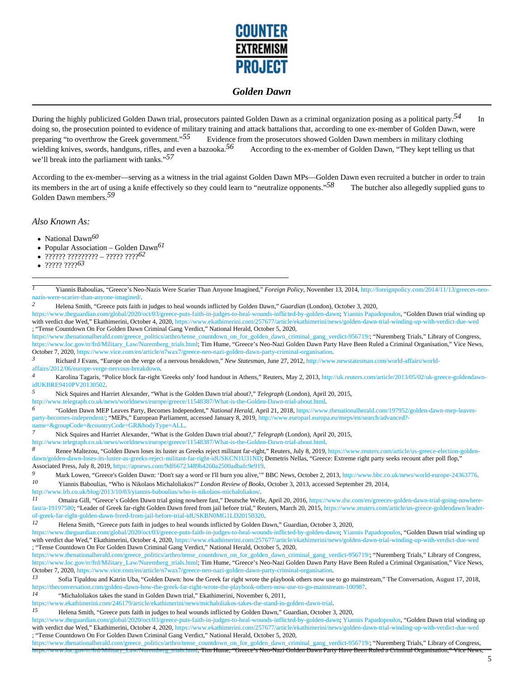

During the highly publicized Golden Dawn trial, prosecutors painted Golden Dawn as a criminal organization posing as a political party.*54* In doing so, the prosecution pointed to evidence of military training and attack battalions that, according to one ex-member of Golden Dawn, were preparing "to overthrow the Greek government."<sup>55</sup> Evidence from the prosecutors showed Golden Dawn members in military clothing wielding knives, swords, handguns, rifles, and even a bazooka.<sup>56</sup> According to the ex-member of Golden Dawn, "They kept telling us that we'll break into the parliament with tanks."*57* 

According to the ex-member—serving as a witness in the trial against Golden Dawn MPs—Golden Dawn even recruited a butcher in order to train its members in the art of using a knife effectively so they could learn to "neutralize opponents."*58* The butcher also allegedly supplied guns to Golden Dawn members.*59* 

*Also Known As:*

- National Dawn<sup>60</sup>
- Popular Association Golden Dawn*61*   $\bullet$
- ?????? ????????? ????? ????*62*
- ????? ????*63*

*1* Yiannis Baboulias, "Greece's Neo-Nazis Were Scarier Than Anyone Imagined," *Foreign Policy*, November 13, 2014, http://foreignpolicy.com/2014/11/13/greeces-neonazis-were-scarier-than-anyone-imagined/<br>2 **Holong Smith** "Groops puts faith

*2* Helena Smith, "Greece puts faith in judges to heal wounds inflicted by Golden Dawn," *Guardian* (London), October 3, 2020,

https://www.theguardian.com/global/2020/oct/03/greece-puts-faith-in-judges-to-heal-wounds-inflicted-by-golden-dawn; Yiannis Papadopoulos, "Golden Dawn trial winding up with verdict due Wed," Ekathimerini, October 4, 2020, https://www.ekathimerini.com/257677/article/ekathimerini/news/golden-dawn-trial-winding-up-with-verdict-due-wed ; "Tense Countdown On For Golden Dawn Criminal Gang Verdict," National Herald, October 5, 2020,

https://www.thenationalherald.com/greece\_politics/arthro/tense\_countdown\_on\_for\_golden\_dawn\_criminal\_gang\_verdict-956719/; "Nuremberg Trials," Library of Congress, https://www.loc.gov/rr/frd/Military\_Law/Nuremberg\_trials.html; Tim Hume, "Greece's Neo-Nazi Golden Dawn Party Have Been Ruled a Criminal Organisation," Vice News, October 7, 2020, https://www.vice.com/en/article/n7wax7/greece-neo-nazi-golden-dawn-party-criminal-organisation.

*3* Richard J Evans, "Europe on the verge of a nervous breakdown," *New Statesman*, June 27, 2012, http://www.newstatesman.com/world-affairs/worldaffairs/2012/06/europe-verge-nervous-breakdown.

*4* Karolina Tagaris, "Police block far-right 'Greeks only' food handout in Athens," Reuters, May 2, 2013, http://uk.reuters.com/article/2013/05/02/uk-greece-goldendawnidUKBRE9410PV20130502.

*5* Nick Squires and Harriet Alexander, "What is the Golden Dawn trial about?," *Telegraph* (London), April 20, 2015,

http://www.telegraph.co.uk/news/worldnews/europe/greece/11548387/What-is-the-Golden-Dawn-trial-about.html.

*6* "Golden Dawn MEP Leaves Party, Becomes Independent," *National Herald*, April 21, 2018, https://www.thenationalherald.com/197952/golden-dawn-mep-leavesparty-becomes-independent/; "MEPs," European Parliament, accessed January 8, 2019, http://www.europarl.europa.eu/meps/en/search/advanced?name=&groupCode=&countryCode=GR&bodyType=ALL.

*7* Nick Squires and Harriet Alexander, "What is the Golden Dawn trial about?," *Telegraph* (London), April 20, 2015,

http://www.telegraph.co.uk/news/worldnews/europe/greece/11548387/What-is-the-Golden-Dawn-trial-about.html.

*8* Renee Maltezou, "Golden Dawn loses its luster as Greeks reject militant far-right," Reuters, July 8, 2019, https://www.reuters.com/article/us-greece-election-goldendawn/golden-dawn-loses-its-luster-as-greeks-reject-militant-far-right-idUSKCN1U31ND; Demetris Nellas, "Greece: Extreme right party seeks recount after poll flop," Associated Press, July 8, 2019, https://apnews.com/9df66723489b4260a2500adbafc9e919.

*9* Mark Lowen, "Greece's Golden Dawn: 'Don't say a word or I'll burn you alive,'" BBC News, October 2, 2013, http://www.bbc.co.uk/news/world-europe-24363776. *10* Yiannis Baboulias, "Who is Nikolaos Michaloliakos?" *London Review of Books*, October 3, 2013, accessed September 29, 2014,

http://www.lrb.co.uk/blog/2013/10/03/yiannis-baboulias/who-is-nikolaos-michaloliakos/.<br>
Il Comeire Gill "Creece's Golden Deun triel going nouthers feet " Deutsche Wel

Omaira Gill, "Greece's Golden Dawn trial going nowhere fast," Deutsche Welle, April 20, 2016, https://www.dw.com/en/greeces-golden-dawn-trial-going-nowherefast/a-19197580; "Leader of Greek far-right Golden Dawn freed from jail before trial," Reuters, March 20, 2015, https://www.reuters.com/article/us-greece-goldendawn/leaderof-greek-far-right-golden-dawn-freed-from-jail-before-trial-idUSKBN0MG1LD20150320.

*12* Helena Smith, "Greece puts faith in judges to heal wounds inflicted by Golden Dawn," Guardian, October 3, 2020,

https://www.theguardian.com/global/2020/oct/03/greece-puts-faith-in-judges-to-heal-wounds-inflicted-by-golden-dawn; Yiannis Papadopoulos, "Golden Dawn trial winding up with verdict due Wed," Ekathimerini, October 4, 2020, https://www.ekathimerini.com/257677/article/ekathimerini/news/golden-dawn-trial-winding-up-with-verdict-due-wed ; "Tense Countdown On For Golden Dawn Criminal Gang Verdict," National Herald, October 5, 2020,

https://www.thenationalherald.com/greece\_politics/arthro/tense\_countdown\_on\_for\_golden\_dawn\_criminal\_gang\_verdict-956719/; "Nuremberg Trials," Library of Congress, https://www.loc.gov/rr/frd/Military\_Law/Nuremberg\_trials.html; Tim Hume, "Greece's Neo-Nazi Golden Dawn Party Have Been Ruled a Criminal Organisation," Vice News, October 7, 2020, https://www.vice.com/en/article/n7wax7/greece-neo-nazi-golden-dawn-party-criminal-organisation.

*13* Sofia Tipaldou and Katrin Uba, "Golden Dawn: how the Greek far right wrote the playbook others now use to go mainstream," The Conversation, August 17, 2018, https://theconversation.com/golden-dawn-how-the-greek-far-right-wrote-the-playbook-others-now-use-to-go-mainstream-100987.

*14* "Michaloliakos takes the stand in Golden Dawn trial," Ekathimerini, November 6, 2011,

https://www.ekathimerini.com/246179/article/ekathimerini/news/michaloliakos-takes-the-stand-in-golden-dawn-trial.

*15* Helena Smith, "Greece puts faith in judges to heal wounds inflicted by Golden Dawn," Guardian, October 3, 2020,

https://www.theguardian.com/global/2020/oct/03/greece-puts-faith-in-judges-to-heal-wounds-inflicted-by-golden-dawn; Yiannis Papadopoulos, "Golden Dawn trial winding up with verdict due Wed," Ekathimerini, October 4, 2020, https://www.ekathimerini.com/257677/article/ekathimerini/news/golden-dawn-trial-winding-up-with-verdict-due-wed ; "Tense Countdown On For Golden Dawn Criminal Gang Verdict," National Herald, October 5, 2020,

https://www.thenationalherald.com/greece\_politics/arthro/tense\_countdown\_on\_for\_golden\_dawn\_criminal\_gang\_verdict-956719/; "Nuremberg Trials," Library of Congress, Nuremberg\_utals.html; Tim Hume, "Greece's Neo-Nazi Golden Dawn Party Have Been Ruled a Criminal Organisation," Vice News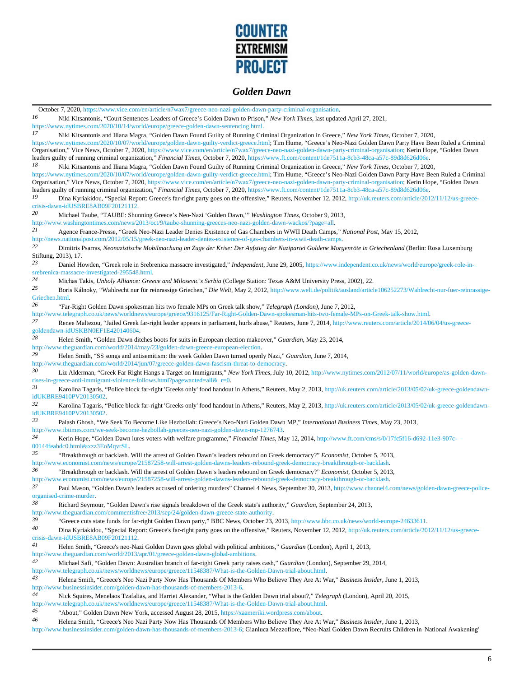

October 7, 2020, https://www.vice.com/en/article/n7wax7/greece-neo-nazi-golden-dawn-party-criminal-organisation. *16* Niki Kitsantonis, "Court Sentences Leaders of Greece's Golden Dawn to Prison," *New York Times*, last updated April 27, 2021, https://www.nytimes.com/2020/10/14/world/europe/greece-golden-dawn-sentencing.html<br>17<br>Shiri Kitantonis and Iliana Magra. "Golden Daun Found Guilty of Punning Cr *17* Niki Kitsantonis and Iliana Magra, "Golden Dawn Found Guilty of Running Criminal Organization in Greece," *New York Times*, October 7, 2020, https://www.nytimes.com/2020/10/07/world/europe/golden-dawn-guilty-verdict-greece.html; Tim Hume, "Greece's Neo-Nazi Golden Dawn Party Have Been Ruled a Criminal Organisation," Vice News, October 7, 2020, https://www.vice.com/en/article/n7wax7/greece-neo-nazi-golden-dawn-party-criminal-organisation; Kerin Hope, "Golden Dawn leaders guilty of running criminal organization," *Financial Times*, October 7, 2020, https://www.ft.com/content/1de7511a-8cb3-48ca-a57c-89d8d626d06e. *18* Niki Kitsantonis and Iliana Magra, "Golden Dawn Found Guilty of Running Criminal Organization in Greece," *New York Times*, October 7, 2020, https://www.nytimes.com/2020/10/07/world/europe/golden-dawn-guilty-verdict-greece.html; Tim Hume, "Greece's Neo-Nazi Golden Dawn Party Have Been Ruled a Criminal Organisation," Vice News, October 7, 2020, https://www.vice.com/en/article/n7wax7/greece-neo-nazi-golden-dawn-party-criminal-organisation; Kerin Hope, "Golden Dawn leaders guilty of running criminal organization," *Financial Times*, October 7, 2020, https://www.ft.com/content/1de7511a-8cb3-48ca-a57c-89d8d626d06e. *19* Dina Kyriakidou, "Special Report: Greece's far-right party goes on the offensive," Reuters, November 12, 2012, http://uk.reuters.com/article/2012/11/12/us-greececrisis-dawn-idUSBRE8AB09F20121112. *20* Michael Taube, "TAUBE: Shunning Greece's Neo-Nazi 'Golden Dawn,'" *Washington Times*, October 9, 2013, http://www.washingtontimes.com/news/2013/oct/9/taube-shunning-greeces-neo-nazi-golden-dawn-wackos/?page=all.<br>21 Agence France Presse "Greek Neo-Nazi Leader Denies Existence of Gas Chambers in WWII Death Camps *21* Agence France-Presse, "Greek Neo-Nazi Leader Denies Existence of Gas Chambers in WWII Death Camps," *National Post*, May 15, 2012, http://news.nationalpost.com/2012/05/15/greek-neo-nazi-leader-denies-existence-of-gas-chambers-in-wwii-death-camps.<br>22 Dimitrie Dearnes, Montgritische Mehilmaghung im Zuge der Krieg: Den Aufstieg der Neringstei Geldene Men *22* Dimitris Psarras, *Neonazistische Mobilmachung im Zuge der Krise: Der Aufstieg der Nazipartei Goldene Morgenröte in Griechenland* (Berlin: Rosa Luxemburg Stiftung, 2013), 17. *23* Daniel Howden, "Greek role in Srebrenica massacre investigated," *Independent*, June 29, 2005, https://www.independent.co.uk/news/world/europe/greek-role-insrebrenica-massacre-investigated-295548.html. *24* Michas Takis, *Unholy Alliance: Greece and Milosevic's Serbia* (College Station: Texas A&M University Press, 2002), 22. 25 **Boris Kálnoky, "Wahlrecht nur für reinrassige Griechen,"** *Die Welt***, May 2, 2012, http://www.welt.de/politik/ausland/article106252273/Wahlrecht-nur-fuer-reinrassige-**Griechen.html<br>26 Geography *26* "Far-Right Golden Dawn spokesman hits two female MPs on Greek talk show," *Telegraph (London)*, June 7, 2012, http://www.telegraph.co.uk/news/worldnews/europe/greece/9316125/Far-Right-Golden-Dawn-spokesman-hits-two-female-MPs-on-Greek-talk-show.html. *27* Renee Maltezou, "Jailed Greek far-right leader appears in parliament, hurls abuse," Reuters, June 7, 2014, http://www.reuters.com/article/2014/06/04/us-greecegoldendawn-idUSKBN0EF1E420140604. *28* Helen Smith, "Golden Dawn ditches boots for suits in European election makeover," *Guardian*, May 23, 2014, http://www.theguardian.com/world/2014/may/23/golden-dawn-greece-european-election. *29* Helen Smith, "SS songs and antisemitism: the week Golden Dawn turned openly Nazi," *Guardian*, June 7, 2014, http://www.theguardian.com/world/2014/jun/07/greece-golden-dawn-fascism-threat-to-democracy. *30* Liz Alderman, "Greek Far Right Hangs a Target on Immigrants," *New York Times*, July 10, 2012, http://www.nytimes.com/2012/07/11/world/europe/as-golden-dawnrises-in-greece-anti-immigrant-violence-follows.html?pagewanted=all&\_r=0. *31* Karolina Tagaris, "Police block far-right 'Greeks only' food handout in Athens," Reuters, May 2, 2013, http://uk.reuters.com/article/2013/05/02/uk-greece-goldendawnidUKBRE9410PV20130502<br>32 Kerolina Tagaris *32* Karolina Tagaris, "Police block far-right 'Greeks only' food handout in Athens," Reuters, May 2, 2013, http://uk.reuters.com/article/2013/05/02/uk-greece-goldendawnidUKBRE9410PV20130502. *33* Palash Ghosh, "We Seek To Become Like Hezbollah: Greece's Neo-Nazi Golden Dawn MP," *International Business Times*, May 23, 2013, http://www.ibtimes.com/we-seek-become-hezbollah-greeces-neo-nazi-golden-dawn-mp-1276743. *34* Kerin Hope, "Golden Dawn lures voters with welfare programme," *Financial Times*, May 12, 2014, http://www.ft.com/cms/s/0/17fc5f16-d692-11e3-907c-00144feabdc0.html#axzz3EoMqvrSL. *35* "Breakthrough or backlash. Will the arrest of Golden Dawn's leaders rebound on Greek democracy?" *Economist*, October 5, 2013, http://www.economist.com/news/europe/21587258-will-arrest-golden-dawns-leaders-rebound-greek-democracy-breakthrough-or-backlash. *36* "Breakthrough or backlash. Will the arrest of Golden Dawn's leaders rebound on Greek democracy?" *Economist*, October 5, 2013, http://www.economist.com/news/europe/21587258-will-arrest-golden-dawns-leaders-rebound-greek-democracy-breakthrough-or-backlash. *37* Paul Mason, "Golden Dawn's leaders accused of ordering murders" Channel 4 News, September 30, 2013, http://www.channel4.com/news/golden-dawn-greece-policeorganised-crime-murder.<br>38 Bichard Seyman *38* Richard Seymour, "Golden Dawn's rise signals breakdown of the Greek state's authority," *Guardian*, September 24, 2013, http://www.theguardian.com/commentisfree/2013/sep/24/golden-dawn-greece-state-authority.<br>39<br> $\text{``Creso}$  authority. <sup>39</sup> "Greece cuts state funds for far-right Golden Dawn party," BBC News, October 23, 2013, http://www.bbc.co.uk/news/world-europe-24633611.<br><sup>40</sup> Dine Kuriskiden "Special Benert: Greece's for right party gees on the offens *40* Dina Kyriakidou, "Special Report: Greece's far-right party goes on the offensive," Reuters, November 12, 2012, http://uk.reuters.com/article/2012/11/12/us-greececrisis-dawn-idUSBRE8AB09F20121112. *41* Helen Smith, "Greece's neo-Nazi Golden Dawn goes global with political ambitions," *Guardian* (London), April 1, 2013, http://www.theguardian.com/world/2013/apr/01/greece-golden-dawn-global-ambitions. *42* Michael Safi, "Golden Dawn: Australian branch of far-right Greek party raises cash," *Guardian* (London), September 29, 2014, http://www.telegraph.co.uk/news/worldnews/europe/greece/11548387/What-is-the-Golden-Dawn-trial-about.html. *43* Helena Smith, "Greece's Neo Nazi Party Now Has Thousands Of Members Who Believe They Are At War," *Business Insider*, June 1, 2013, http://www.businessinsider.com/golden-dawn-has-thousands-of-members-2013-6. *44* Nick Squires, Menelaos Tzafalias, and Harriet Alexander, "What is the Golden Dawn trial about?," *Telegraph* (London), April 20, 2015, http://www.telegraph.co.uk/news/worldnews/europe/greece/11548387/What-is-the-Golden-Dawn-trial-about.html. *45* "About," Golden Dawn New York, accessed August 28, 2015, https://xaameriki.wordpress.com/about. *46* Helena Smith, "Greece's Neo Nazi Party Now Has Thousands Of Members Who Believe They Are At War," *Business Insider*, June 1, 2013, http://www.businessinsider.com/golden-dawn-has-thousands-of-members-2013-6; Gianluca Mezzofiore, "Neo-Nazi Golden Dawn Recruits Children in 'National Awakening'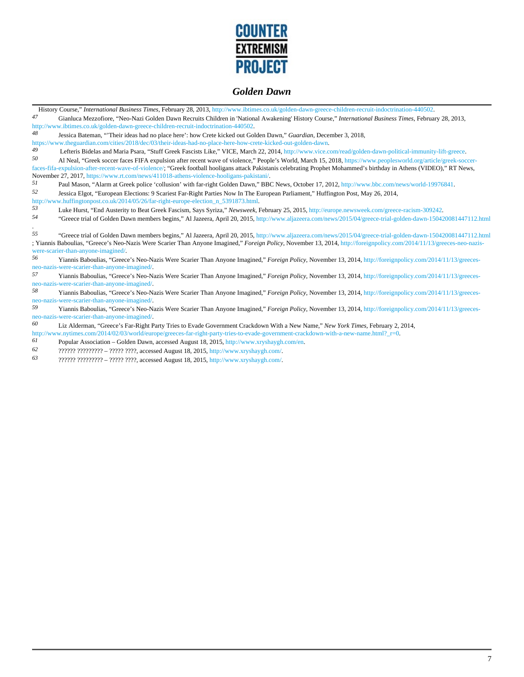

|                                                                                         | History Course," International Business Times, February 28, 2013, http://www.ibtimes.co.uk/golden-dawn-greece-children-recruit-indoctrination-440502.                                                                                                                                                                                   |  |
|-----------------------------------------------------------------------------------------|-----------------------------------------------------------------------------------------------------------------------------------------------------------------------------------------------------------------------------------------------------------------------------------------------------------------------------------------|--|
| 47                                                                                      | Gianluca Mezzofiore, "Neo-Nazi Golden Dawn Recruits Children in 'National Awakening' History Course," International Business Times, February 28, 2013,                                                                                                                                                                                  |  |
|                                                                                         | http://www.ibtimes.co.uk/golden-dawn-greece-children-recruit-indoctrination-440502.                                                                                                                                                                                                                                                     |  |
| 48                                                                                      | Jessica Bateman, "Their ideas had no place here': how Crete kicked out Golden Dawn," Guardian, December 3, 2018,                                                                                                                                                                                                                        |  |
|                                                                                         | https://www.theguardian.com/cities/2018/dec/03/their-ideas-had-no-place-here-how-crete-kicked-out-golden-dawn.                                                                                                                                                                                                                          |  |
| 49                                                                                      | Lefteris Bidelas and Maria Psara, "Stuff Greek Fascists Like," VICE, March 22, 2014, http://www.vice.com/read/golden-dawn-political-immunity-lift-greece.                                                                                                                                                                               |  |
| 50                                                                                      | Al Neal, "Greek soccer faces FIFA expulsion after recent wave of violence," People's World, March 15, 2018, https://www.peoplesworld.org/article/greek-soccer-<br>faces-fifa-expulsion-after-recent-wave-of-violence/; "Greek football hooligans attack Pakistanis celebrating Prophet Mohammed's birthday in Athens (VIDEO)," RT News, |  |
| November 27, 2017, https://www.rt.com/news/411018-athens-violence-hooligans-pakistani/. |                                                                                                                                                                                                                                                                                                                                         |  |
| 51                                                                                      | Paul Mason, "Alarm at Greek police 'collusion' with far-right Golden Dawn," BBC News, October 17, 2012, http://www.bbc.com/news/world-19976841.                                                                                                                                                                                         |  |
| 52                                                                                      | Jessica Elgot, "European Elections: 9 Scariest Far-Right Parties Now In The European Parliament," Huffington Post, May 26, 2014,                                                                                                                                                                                                        |  |
| http://www.huffingtonpost.co.uk/2014/05/26/far-right-europe-election_n_5391873.html     |                                                                                                                                                                                                                                                                                                                                         |  |
| 53                                                                                      | Luke Hurst, "End Austerity to Beat Greek Fascism, Says Syriza," Newsweek, February 25, 2015, http://europe.newsweek.com/greece-racism-309242.                                                                                                                                                                                           |  |
| 54                                                                                      | "Greece trial of Golden Dawn members begins," Al Jazeera, April 20, 2015, http://www.aljazeera.com/news/2015/04/greece-trial-golden-dawn-150420081447112.html                                                                                                                                                                           |  |
| 55                                                                                      | "Greece trial of Golden Dawn members begins," Al Jazeera, April 20, 2015, http://www.aljazeera.com/news/2015/04/greece-trial-golden-dawn-150420081447112.html                                                                                                                                                                           |  |
|                                                                                         | ; Yiannis Baboulias, "Greece's Neo-Nazis Were Scarier Than Anyone Imagined," Foreign Policy, November 13, 2014, http://foreignpolicy.com/2014/11/13/greeces-neo-nazis-                                                                                                                                                                  |  |
|                                                                                         | were-scarier-than-anyone-imagined/                                                                                                                                                                                                                                                                                                      |  |
| 56                                                                                      | Yiannis Baboulias, "Greece's Neo-Nazis Were Scarier Than Anyone Imagined," Foreign Policy, November 13, 2014, http://foreignpolicy.com/2014/11/13/greeces-                                                                                                                                                                              |  |
|                                                                                         | neo-nazis-were-scarier-than-anyone-imagined/.                                                                                                                                                                                                                                                                                           |  |
| 57                                                                                      | Yiannis Baboulias, "Greece's Neo-Nazis Were Scarier Than Anyone Imagined," Foreign Policy, November 13, 2014, http://foreignpolicy.com/2014/11/13/greeces-                                                                                                                                                                              |  |
|                                                                                         | neo-nazis-were-scarier-than-anyone-imagined/.                                                                                                                                                                                                                                                                                           |  |
| 58                                                                                      | Yiannis Baboulias, "Greece's Neo-Nazis Were Scarier Than Anyone Imagined," Foreign Policy, November 13, 2014, http://foreignpolicy.com/2014/11/13/greeces-                                                                                                                                                                              |  |
|                                                                                         | neo-nazis-were-scarier-than-anyone-imagined/                                                                                                                                                                                                                                                                                            |  |
| 59                                                                                      | Viennic Reparties "Crosses's Neo Nezis Were Segrier Then Anyone Imagined" Eersien Reliev November 12, 2014, http://fereignaliev.com/2014/11/12/groeces                                                                                                                                                                                  |  |

*59* Yiannis Baboulias, "Greece's Neo-Nazis Were Scarier Than Anyone Imagined," *Foreign Policy*, November 13, 2014, http://foreignpolicy.com/2014/11/13/greecesneo-nazis-were-scarier-than-anyone-imagined/.<br>60 I iz Alderman "Greece's Far-Right P

*60* Liz Alderman, "Greece's Far-Right Party Tries to Evade Government Crackdown With a New Name," *New York Times*, February 2, 2014, http://www.nytimes.com/2014/02/03/world/europe/greeces-far-right-party-tries-to-evade-government-crackdown-with-a-new-name.html?\_r=0.<br> **Popular Association – Golden Dawn** accessed August 18, 2015, http://www.xryshaygh.com/

*61* Popular Association – Golden Dawn, accessed August 18, 2015, http://www.xryshaygh.com/en.

*62* ?????? ????????? – ????? ????, accessed August 18, 2015, http://www.xryshaygh.com/.

*63* ?????? ????????? – ????? ????, accessed August 18, 2015, http://www.xryshaygh.com/.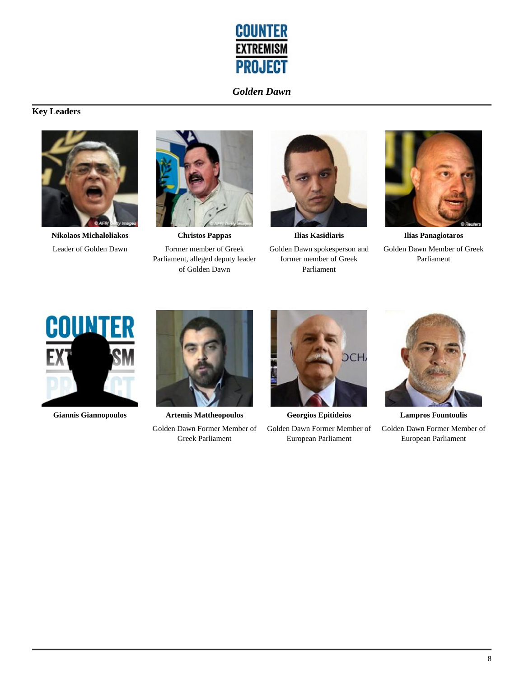

# **Key Leaders**



**Nikolaos Michaloliakos** Leader of Golden Dawn



**Christos Pappas** Former member of Greek Parliament, alleged deputy leader of Golden Dawn



**Ilias Kasidiaris** Golden Dawn spokesperson and former member of Greek Parliament



**Ilias Panagiotaros** Golden Dawn Member of Greek Parliament





**Giannis Giannopoulos Artemis Mattheopoulos** Golden Dawn Former Member of Greek Parliament



**Georgios Epitideios** Golden Dawn Former Member of European Parliament



**Lampros Fountoulis** Golden Dawn Former Member of European Parliament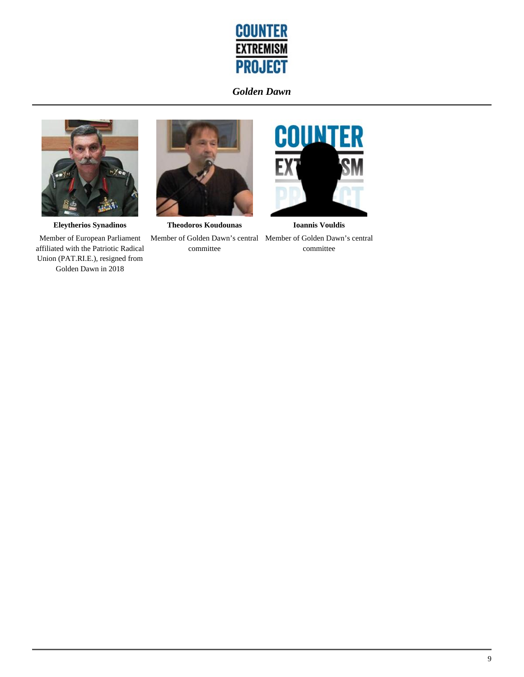



**Eleytherios Synadinos** Member of European Parliament affiliated with the Patriotic Radical Union (PAT.RI.E.), resigned from Golden Dawn in 2018



**Theodoros Koudounas** Member of Golden Dawn's central Member of Golden Dawn's central committee



**Ioannis Vouldis** committee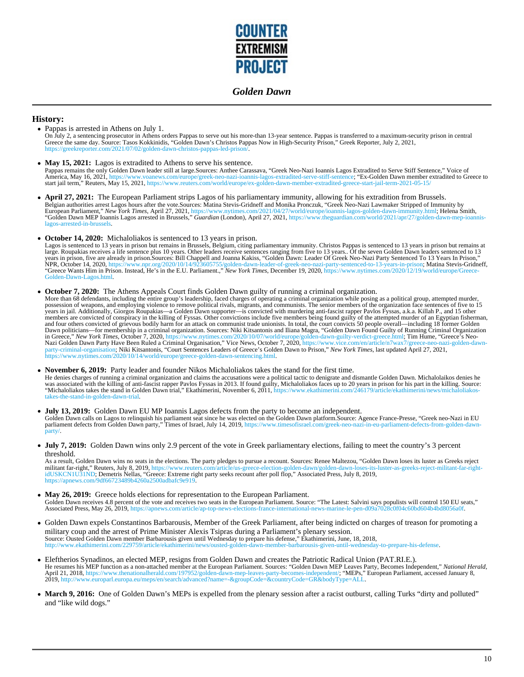

#### **History:**

- Pappas is arrested in Athens on July 1. On July 2, a sentencing prosecutor in Athens orders Pappas to serve out his more-than 13-year sentence. Pappas is transferred to a maximum-security prison in central<br>Greece the same day. Source: Tasos Kokkinidis, "Golden D https://greekreporter.com/2021/07/02/golden-dawn-christos-pappas-led-prison/.
- **May 15, 2021:** Lagos is extradited to Athens to serve his sentence. Pappas remains the only Golden Dawn leader still at large.Sources: Anthee Carassava, "Greek Neo-Nazi Ioannis Lagos Extradited to Serve Stiff Sentence," Voice of America, May 16, 2021, https://www.voanews.com/europe/greek-neo-nazi-ioannis-lagos-extradited-serve-stiff-sentence; "Ex-Golden Dawn member extradited to Greece to<br>start jail term," Reuters, May 15, 2021, https://www.reuter
- **April 27, 2021:** The European Parliament strips Lagos of his parliamentary immunity, allowing for his extradition from Brussels. Belgian authorities arrest Lagos hours after the vote.Sources: Matina Stevis-Gridneff and Monika Pronczuk, "Greek Neo-Nazi Lawmaker Stripped of Immunity by<br>European Parliament," *New York Times*, April 27, 2021, https://ww lagos-arrested-in-brussels.
- **October 14, 2020:** Michaloliakos is sentenced to 13 years in prison.

Lagos is sentenced to 13 years in prison but remains in Brussels, Belgium, citing parliamentary immunity. Christos Pappas is sentenced to 13 years in prison but remains at large. Roupakias receives a life sentence plus 10 Golden-Dawn-Lagos.html.

#### **October 7, 2020:** The Athens Appeals Court finds Golden Dawn guilty of running a criminal organization.

More than 68 defendants, including the entire group's leadership, faced charges of operating a criminal organization while posing as a political group, attempted murder,<br>possession of weapons, and employing violence to rem members are convicted of conspiracy in the killing of Fyssas. Other convictions include five members being found guilty of the attempted murder of an Egyptian fisherman, and four others convicted of grievous bodily harm for an attack on communist trade unionists. In total, the court convicts 50 people overall—including 18 former Golden Dawn politicians—for membership in a criminal organization. Sources: Niki Kitsantonis and Iliana Magra, "Golden Dawn Found Guilty of Running Criminal Organization<br>in Greece," New York Times, October 7, 2020, https://www.ny Nazi Golden Dawn Party Have Been Ruled a Criminal Organisation," Vice News, October 7, 2020, https://www.vice.com/en/article/n7wax7/greece-neo-nazi-golden-dawn-<br>party-criminal-organisation; Niki Kitsantonis, "Court Sentenc https://www.nytimes.com/2020/10/14/world/europe/greece-golden-dawn-sentencing.html.

#### **November 6, 2019:** Party leader and founder Nikos Michaloliakos takes the stand for the first time.  $\bullet$

He denies charges of running a criminal organization and claims the accusations were a political tactic to denigrate and dismantle Golden Dawn. Michalolaikos denies he<br>was associated with the killing of anti-fascist rapper "Michaloliakos takes the stand in Golden Dawn trial," Ekathimerini, November 6, 2011, https://www.ekathimerini.com/246179/article/ekathimerini/news/michaloliakosstand-in-golden-dawn-trial

- **July 13, 2019:** Golden Dawn EU MP Ioannis Lagos defects from the party to become an independent. Golden Dawn calls on Lagos to relinquish his parliament seat since he was elected on the Golden Dawn platform.Source: Agence France-Presse, "Greek neo-Nazi in EU<br>parliament defects from Golden Dawn party," Times of Israel, party/.
- **July 7, 2019:** Golden Dawn wins only 2.9 percent of the vote in Greek parliamentary elections, failing to meet the country's 3 percent threshold.

As a result, Golden Dawn wins no seats in the elections. The party pledges to pursue a recount. Sources: Renee Maltezou, "Golden Dawn loses its luster as Greeks reject<br>militant far-right," Reuters, July 8, 2019, https://ww idUSKCN1U31ND; Demetris Nellas, "Greece: Extreme right party seeks recount after poll flop," Associated Press, July 8, 2019, https://apnews.com/9df66723489b4260a2500adbafc9e919.

- **May 26, 2019:** Greece holds elections for representation to the European Parliament. Golden Dawn receives 4.8 percent of the vote and receives two seats in the European Parliament. Source: "The Latest: Salvini says populists will control 150 EU seats,"<br>Associated Press, May 26, 2019, https://apnews.com/art
- Golden Dawn expels Constantinos Barbarousis, Member of the Greek Parliament, after being indicted on charges of treason for promoting a military coup and the arrest of Prime Minister Alexis Tsipras during a Parliament's plenary session. Source: Ousted Golden Dawn member Barbarousis given until Wednesday to prepare his defense," Ekathimerini, June, 18, 2018, awn-member-barbarousis-given-until-wednesday-to-prepare-his-defense.
- Eleftherios Synadinos, an elected MEP, resigns from Golden Dawn and creates the Patriotic Radical Union (PAT.RI.E.). He resumes his MEP function as a non-attached member at the European Parliament. Sources: "Golden Dawn MEP Leaves Party, Becomes Independent," *National Herald*,<br>April 21, 2018, https://www.thenationalherald.com/197952/gol
- March 9, 2016: One of Golden Dawn's MEPs is expelled from the plenary session after a racist outburst, calling Turks "dirty and polluted" and "like wild dogs."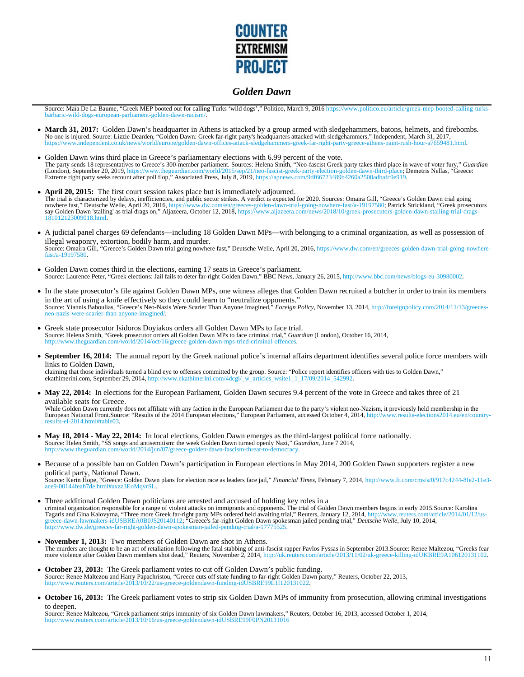

Source: Maïa De La Baume, "Greek MEP booted out for calling Turks 'wild dogs'," Politico, March 9, 2016 https://www.politico.eu/article/greek-mep-booted-calling-turksbarbaric-wild-dogs-european-parliament-golden-dawn-racism/.

- March 31, 2017: Golden Dawn's headquarter in Athens is attacked by a group armed with sledgehammers, batons, helmets, and firebombs. No one is injured. Source: Lizzie Dearden, "Golden Dawn: Greek far-right party's headquarters attacked with sledgehammers," Independent, March 31, 2017,<br>https://www.independent.co.uk/news/world/europe/golden-dawn-offices-a
- Golden Dawn wins third place in Greece's parliamentary elections with 6.99 percent of the vote. The party sends 18 representatives to Greece's 300-member parliament. Sources: Helena Smith, "Neo-fascist Greek party takes third place in wave of voter fury," *Guardian* (London), September 20, 2019, https://www.theguardian.com/world/2015/sep/21/neo-fascist-greek-party-election-golden-dawn-third-place; Demetris Nellas, "Greece:<br>Extreme right party seeks recount after poll flop," Associated
- **April 20, 2015:** The first court session takes place but is immediately adjourned. The trial is characterized by delays, inefficiencies, and public sector strikes. A verdict is expected for 2020. Sources: Omaira Gill, "Greece's Golden Dawn trial going nowhere fast," Deutsche Welle, April 20, 2016, https://www.dw.com/en/greeces-golden-dawn-trial-going-nowhere-fast/a-19197580; Patrick Strickland, "Greek prosecutors<br>say Golden Dawn 'stalling' as trial drags on," Aljazeera, 181012123009018.html.
- A judicial panel charges 69 defendants—including 18 Golden Dawn MPs—with belonging to a criminal organization, as well as possession of illegal weaponry, extortion, bodily harm, and murder. Source: Omaira Gill, "Greece's Golden Dawn trial going nowhere fast," Deutsche Welle, April 20, 2016, https://www.dw.com/en/greeces-golden-dawn-trial-going-nowherefast/a-19197580.
- Golden Dawn comes third in the elections, earning 17 seats in Greece's parliament. Source: Laurence Peter, "Greek elections: Jail fails to deter far-right Golden Dawn," BBC News, January 26, 2015, http://www.bbc.com/news/blogs-eu-30980002.
- In the state prosecutor's file against Golden Dawn MPs, one witness alleges that Golden Dawn recruited a butcher in order to train its members in the art of using a knife effectively so they could learn to "neutralize opponents."<br>Source: Yiannis Baboulias, "Greece's Neo-Nazis Were Scarier Than Anyone Imagined," *Foreign Policy*, November 13, 2014, http://foreignp
- Greek state prosecutor Isidoros Doyiakos orders all Golden Dawn MPs to face trial. Source: Helena Smith, "Greek prosecutor orders all Golden Dawn MPs to face criminal trial," *Guardian* (London), October 16, 2014, uardian.com/world/2014/oct/16/greece-golden-dawn-mps-tried-criminal-offence
- **September 16, 2014:** The annual report by the Greek national police's internal affairs department identifies several police force members with links to Golden Dawn,

claiming that those individuals turned a blind eye to offenses committed by the group. Source: "Police report identifies officers with ties to Golden Dawn,"<br>ekathimerini.com, September 29, 2014, http://www.ekathimerini.com ekathimerini.com, September 29, 2014, http://

• May 22, 2014: In elections for the European Parliament, Golden Dawn secures 9.4 percent of the vote in Greece and takes three of 21 available seats for Greece.

While Golden Dawn currently does not affiliate with any faction in the European Parliament due to the party's violent neo-Nazism, it previously held membership in the European National Front.Source: "Results of the 2014 European elections," European Parliament, accessed October 4, 2014, http://www.results-elections2014.eu/en/countryresults-el-2014.html#table03.

- **May 18, 2014 May 22, 2014:** In local elections, Golden Dawn emerges as the third-largest political force nationally. Source: Helen Smith, "SS songs and antisemitism: the week Golden Dawn turned openly Nazi," *Guardian*, June 7 2014, w.theguardian.com/world/2014/jun/07/greece-golden-dawn-fascism-threat-to-
- Because of a possible ban on Golden Dawn's participation in European elections in May 2014, 200 Golden Dawn supporters register a new political party, National Dawn. Source: Kerin Hope, "Greece: Golden Dawn plans for election race as leaders face jail," *Financial Times*, February 7, 2014, http://www.ft.com/cms/s/0/917c4244-8fe2-11e3 aee9-00144feab7de.html#axzz3EoMqvrSL.
- Three additional Golden Dawn politicians are arrested and accused of holding key roles in a criminal organization responsible for a range of violent attacks on immigrants and opponents. The trial of Golden Dawn members begins in early 2015. Source: Karolina<br>Tagaris and Gina Kalovyrna, "Three more Greek far-right Tagaris and Gina Kalovyrna, "Three more Greek far-right party MPs ordered held awaiting trial," Reuters, January 12, 2014, http://www.reuters.com/article/2014/01/12/us-<br>greece-dawn-lawmakers-idUSBREA0B0JS20140112; "Greece' http://www.dw.de/greeces-far-right-golden-dawn-spokesman-jailed-pending-trial/a-17775525.
- **November 1, 2013:** Two members of Golden Dawn are shot in Athens. The murders are thought to be an act of retaliation following the fatal stabbing of anti-fascist rapper Pavlos Fyssas in September 2013.Source: Renee Maltezou, "Greeks fear<br>more violence after Golden Dawn members shot dead
- **October 23, 2013:** The Greek parliament votes to cut off Golden Dawn's public funding. Source: Renee Maltezou and Harry Papachristou, "Greece cuts off state funding to far-right Golden Dawn party," Reuters, October 22, 2013, http://www.reuters.com/article/2013/10/22/us-greece-goldendawn-funding-idUSBRE99L1I120131022.
- **October 16, 2013:** The Greek parliament votes to strip six Golden Dawn MPs of immunity from prosecution, allowing criminal investigations to deepen.

Source: Renee Maltezou, "Greek parliament strips immunity of six Golden Dawn lawmakers," Reuters, October 16, 2013, accessed October 1, 2014, http://www.reuters.com/article/2013/10/16/us-greece-goldendawn-idUSBRE99F0PN20131016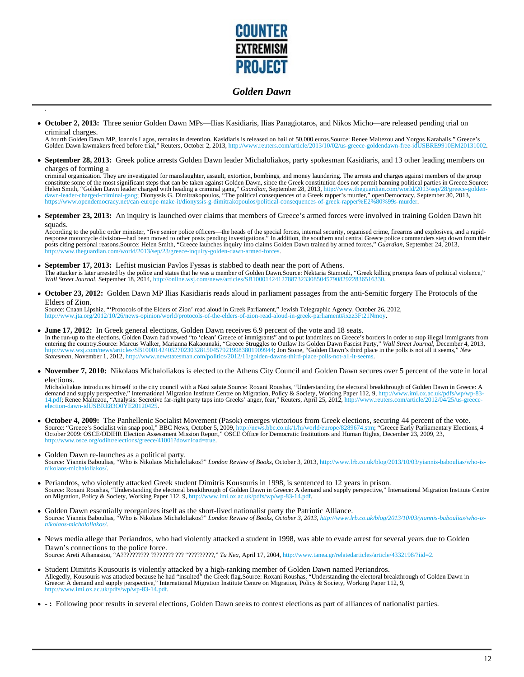

**October 2, 2013:** Three senior Golden Dawn MPs—Ilias Kasidiaris, Ilias Panagiotaros, and Nikos Micho—are released pending trial on criminal charges.

.

A fourth Golden Dawn MP, Ioannis Lagos, remains in detention. Kasidiaris is released on bail of 50,000 euros.Source: Renee Maltezou and Yorgos Karahalis," Greece's<br>Golden Dawn lawmakers freed before trial," Reuters, Octobe

**September 28, 2013:** Greek police arrests Golden Dawn leader Michaloliakos, party spokesman Kasidiaris, and 13 other leading members on charges of forming a

criminal organization. They are investigated for manslaughter, assault, extortion, bombings, and money laundering. The arrests and charges against members of the group constitute some of the most significant steps that can be taken against Golden Dawn, since the Greek constitution does not permit banning political parties in Greece.Source:<br>Helen Smith, "Golden Dawn leader charged with he https://www.opendemocracy.net/can-europe-make-it/dionyssis-g-dimitrakopoulos/political-consequences-of-greek-rapper%E2%80%99s-murd

**September 23, 2013:** An inquiry is launched over claims that members of Greece's armed forces were involved in training Golden Dawn hit squads.

According to the public order minister, "five senior police officers—the heads of the special forces, internal security, organised crime, firearms and explosives, and a rapid-<br>response motorcycle division—had been moved to http://world/2013/sep/23/greece-inquiry-golden-dawn-armed-forces.us

- **September 17, 2013:** Leftist musician Pavlos Fyssas is stabbed to death near the port of Athens. The attacker is later arrested by the police and states that he was a member of Golden Dawn.Source: Nektaria Stamouli, "Greek killing prompts fears of political violence," *Wall Street Journal*, Setpember 18, 2014, http://online.wsj.com/news/articles/SB10001424127887323308504579082922
- **October 23, 2012:** Golden Dawn MP Ilias Kasidiaris reads aloud in parliament passages from the anti-Semitic forgery The Protocols of the Elders of Zion.

Source: Cnaan Lipshiz, "'Protocols of the Elders of Zion' read aloud in Greek Parliament," Jewish Telegraphic Agency, October 26, 2012, http://www.jta.org/2012/10/26/news-opinion/world/protocols-of-the-elders-of-zion-read-aloud-in-greek-parliament#ixzz3Ft21Nmoy.

- **June 17, 2012:** In Greek general elections, Golden Dawn receives 6.9 percent of the vote and 18 seats. In the run-up to the elections, Golden Dawn had vowed "to 'clean' Greece of immigrants" and to put landmines on Greece's borders in order to stop illegal immigrants from entering the country.Source: Marcus Walker, Marianna Kakaounaki, "Greece Struggles to Outlaw Its Golden Dawn Fascist Party," Wall Street Journal, December 4, 2013,<br>http://www.wsj.com/news/articles/SB10001424052702303281504 *Statesman*, November 1, 2012, http://www.newstatesman.com/politics/2012/11/golden-dawns-third-place-polls-not-all-it-se
- **November 7, 2010:** Nikolaos Michaloliakos is elected to the Athens City Council and Golden Dawn secures over 5 percent of the vote in local elections.

Michaloliakos introduces himself to the city council with a Nazi salute.Source: Roxani Roushas, "Understanding the electoral breakthrough of Golden Dawn in Greece: A<br>demand and supply perspective," International Migration election-dawn-idUSBRE83O0YE20120425.

- **October 4, 2009:** The Panhellenic Socialist Movement (Pasok) emerges victorious from Greek elections, securing 44 percent of the vote. Source: "Greece's Socialist win snap pool," BBC News, October 5, 2009, http://news.bbc.co.uk/1/hi/world/europe/8289674.stm; "Greece Early Parliamentary Elections, 4<br>October 2009: OSCE/ODIHR Election Assessment Mission Repo w.osce.org/odihr/elections/greece/41001?download=t
- Golden Dawn re-launches as a political party.<br>Source: Yiannis Baboulias, "Who is Nikolaos Michaloliakos?" *London Review of Books*, October 3, 2013, http://www.lrb.co.uk/blog/2013/10/03/yiannis-baboulias/who-isnikolaos-michaloliakos/.
- Periandros, who violently attacked Greek student Dimitris Kousouris in 1998, is sentenced to 12 years in prison. Source: Roxani Roushas, "Understanding the electoral breakthrough of Golden Dawn in Greece: A demand and supply perspective," International Migration Institute Centre on Migration, Policy & Society, Working Paper 112, 9, http://www.imi.ox.ac.uk/pdfs/wp/wp-83-14.pdf.
- Golden Dawn essentially reorganizes itself as the short-lived nationalist party the Patriotic Alliance. Source: Yiannis Baboulias, "Who is Nikolaos Michaloliakos?" *London Review of Books, October 3, 2013, http://www.lrb.co.uk/blog/2013/10/03/yiannis-baboulias/who-isnikolaos-michaloliakos/.*
- News media allege that Periandros, who had violently attacked a student in 1998, was able to evade arrest for several years due to Golden Dawn's connections to the police force. Source: Areti Athanasiou, "A?????????? ???????? ??? "?????????," *Ta Nea*, April 17, 2004, http://www.tanea.gr/relatedarticles/article/4332198/?iid=2.
- Student Dimitris Kousouris is violently attacked by a high-ranking member of Golden Dawn named Periandros. Allegedly, Kousouris was attacked because he had "insulted" the Greek flag.Source: Roxani Roushas, "Understanding the electoral breakthrough of Golden Dawn in<br>Greece: A demand and supply perspective," International Migrati www.imi.ox.ac.uk/pdfs/wp/wp-83-14.pdf
- **:** Following poor results in several elections, Golden Dawn seeks to contest elections as part of alliances of nationalist parties.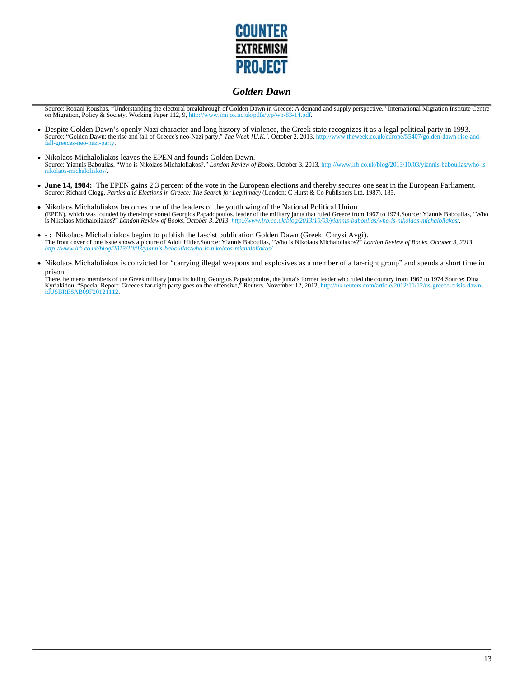

Source: Roxani Roushas, "Understanding the electoral breakthrough of Golden Dawn in Greece: A demand and supply perspective," International Migration Institute Centre on Migration, Policy & Society, Working Paper 112, 9, http://www.imi.ox.ac.uk/pdfs/wp/wp-83-14.pdf.

- Despite Golden Dawn's openly Nazi character and long history of violence, the Greek state recognizes it as a legal political party in 1993. Source: "Golden Dawn: the rise and fall of Greece's neo-Nazi party," *The Week [U.K.]*, October 2, 2013, http://www.theweek.co.uk/europe/55407/golden-dawn-rise-and-<br>fall-greeces-neo-nazi-party.
- Nikolaos Michaloliakos leaves the EPEN and founds Golden Dawn.  $\bullet$ Source: Yiannis Baboulias, "Who is Nikolaos Michaloliakos?," *London Review of Books*, October 3, 2013, http://www.lrb.co.uk/blog/2013/10/03/yiannis-baboulias/who-isnikolaos-michaloliakos/.
- **June 14, 1984:** The EPEN gains 2.3 percent of the vote in the European elections and thereby secures one seat in the European Parliament. Source: Richard Clogg, *Parties and Elections in Greece: The Search for Legitimacy* (London: C Hurst & Co Publishers Ltd, 1987), 185.
- Nikolaos Michaloliakos becomes one of the leaders of the youth wing of the National Political Union  $\bullet$ (EPEN), which was founded by then-imprisoned Georgios Papadopoulos, leader of the military junta that ruled Greece from 1967 to 1974.Source: Yiannis Baboulias, "Who<br>is Nikolaos Michaloliakos?" *London Review of Books, Octo*
- : Nikolaos Michaloliakos begins to publish the fascist publication Golden Dawn (Greek: Chrysi Avgi).<br>The front cover of one issue shows a picture of Adolf Hitler.Source: Yiannis Baboulias, "Who is Nikolaos Michaloliakos?
- Nikolaos Michaloliakos is convicted for "carrying illegal weapons and explosives as a member of a far-right group" and spends a short time in prison.

There, he meets members of the Greek military junta including Georgios Papadopoulos, the junta's former leader who ruled the country from 1967 to 1974.Source: Dina<br>Kyriakidou, "Special Report: Greece's far-right party goes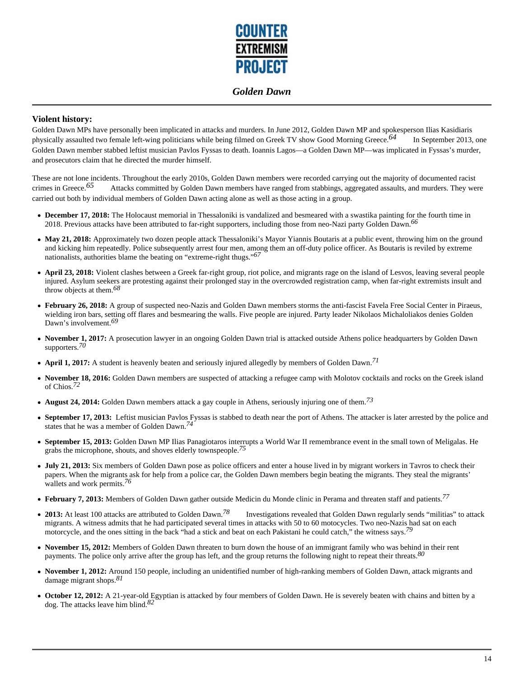

## **Violent history:**

Golden Dawn MPs have personally been implicated in attacks and murders. In June 2012, Golden Dawn MP and spokesperson Ilias Kasidiaris physically assaulted two female left-wing politicians while being filmed on Greek TV show Good Morning Greece.*64* In September 2013, one Golden Dawn member stabbed leftist musician Pavlos Fyssas to death. Ioannis Lagos—a Golden Dawn MP—was implicated in Fyssas's murder, and prosecutors claim that he directed the murder himself.

These are not lone incidents. Throughout the early 2010s, Golden Dawn members were recorded carrying out the majority of documented racist crimes in Greece.<sup>65</sup> Attacks committed by Golden Dawn members have ranged from stabbings, aggregated assaults, and murders. They were carried out both by individual members of Golden Dawn acting alone as well as those acting in a group.

- **December 17, 2018:** The Holocaust memorial in Thessaloniki is vandalized and besmeared with a swastika painting for the fourth time in 2018. Previous attacks have been attributed to far-right supporters, including those from neo-Nazi party Golden Dawn.*66*
- May 21, 2018: Approximately two dozen people attack Thessaloniki's Mayor Yiannis Boutaris at a public event, throwing him on the ground and kicking him repeatedly. Police subsequently arrest four men, among them an off-duty police officer. As Boutaris is reviled by extreme nationalists, authorities blame the beating on "extreme-right thugs."*67*
- **April 23, 2018:** Violent clashes between a Greek far-right group, riot police, and migrants rage on the island of Lesvos, leaving several people injured. Asylum seekers are protesting against their prolonged stay in the overcrowded registration camp, when far-right extremists insult and throw objects at them.*68*
- **February 26, 2018:** A group of suspected neo-Nazis and Golden Dawn members storms the anti-fascist Favela Free Social Center in Piraeus, wielding iron bars, setting off flares and besmearing the walls. Five people are injured. Party leader Nikolaos Michaloliakos denies Golden Dawn's involvement.*69*
- **November 1, 2017:** A prosecution lawyer in an ongoing Golden Dawn trial is attacked outside Athens police headquarters by Golden Dawn supporters.*70*
- **April 1, 2017:** A student is heavenly beaten and seriously injured allegedly by members of Golden Dawn.*71*
- **November 18, 2016:** Golden Dawn members are suspected of attacking a refugee camp with Molotov cocktails and rocks on the Greek island of Chios.*72*
- **August 24, 2014:** Golden Dawn members attack a gay couple in Athens, seriously injuring one of them.*73*
- **September 17, 2013:** Leftist musician Pavlos Fyssas is stabbed to death near the port of Athens. The attacker is later arrested by the police and states that he was a member of Golden Dawn.*74*
- **September 15, 2013:** Golden Dawn MP Ilias Panagiotaros interrupts a World War II remembrance event in the small town of Meligalas. He grabs the microphone, shouts, and shoves elderly townspeople.*75*
- **July 21, 2013:** Six members of Golden Dawn pose as police officers and enter a house lived in by migrant workers in Tavros to check their papers. When the migrants ask for help from a police car, the Golden Dawn members begin beating the migrants. They steal the migrants' wallets and work permits.*76*
- **February 7, 2013:** Members of Golden Dawn gather outside Medicin du Monde clinic in Perama and threaten staff and patients.*77*
- **2013:** At least 100 attacks are attributed to Golden Dawn.*78* Investigations revealed that Golden Dawn regularly sends "militias" to attack migrants. A witness admits that he had participated several times in attacks with 50 to 60 motocycles. Two neo-Nazis had sat on each motorcycle, and the ones sitting in the back "had a stick and beat on each Pakistani he could catch," the witness says.*79*
- **November 15, 2012:** Members of Golden Dawn threaten to burn down the house of an immigrant family who was behind in their rent payments. The police only arrive after the group has left, and the group returns the following night to repeat their threats.*80*
- **November 1, 2012:** Around 150 people, including an unidentified number of high-ranking members of Golden Dawn, attack migrants and damage migrant shops.*81*
- October 12, 2012: A 21-year-old Egyptian is attacked by four members of Golden Dawn. He is severely beaten with chains and bitten by a dog. The attacks leave him blind.*82*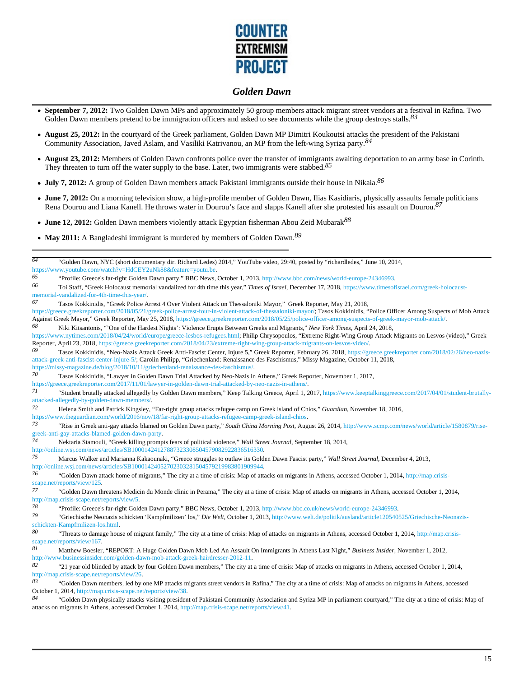

- **September 7, 2012:** Two Golden Dawn MPs and approximately 50 group members attack migrant street vendors at a festival in Rafina. Two Golden Dawn members pretend to be immigration officers and asked to see documents while the group destroys stalls.*83*
- August 25, 2012: In the courtyard of the Greek parliament, Golden Dawn MP Dimitri Koukoutsi attacks the president of the Pakistani Community Association, Javed Aslam, and Vasiliki Katrivanou, an MP from the left-wing Syriza party.*84*
- **August 23, 2012:** Members of Golden Dawn confronts police over the transfer of immigrants awaiting deportation to an army base in Corinth. They threaten to turn off the water supply to the base. Later, two immigrants were stabbed.*85*
- **July 7, 2012:** A group of Golden Dawn members attack Pakistani immigrants outside their house in Nikaia.*86*
- **June 7, 2012:** On a morning television show, a high-profile member of Golden Dawn, Ilias Kasidiaris, physically assaults female politicians Rena Dourou and Liana Kanell. He throws water in Dourou's face and slapps Kanell after she protested his assault on Dourou.*87*
- **June 12, 2012:** Golden Dawn members violently attack Egyptian fisherman Abou Zeid Mubarak*88*
- **May 2011:** A Bangladeshi immigrant is murdered by members of Golden Dawn.*89*

*64* "Golden Dawn, NYC (short documentary dir. Richard Ledes) 2014," YouTube video, 29:40, posted by "richardledes," June 10, 2014, https://www.youtube.com/watch?v=HdCEY2uNk88&feature=youtu.be.<br>65 
interval of the creek far-right Golden Dawn party." BBC News. *65* "Profile: Greece's far-right Golden Dawn party," BBC News, October 1, 2013, http://www.bbc.com/news/world-europe-24346993. *66* Toi Staff, "Greek Holocaust memorial vandalized for 4th time this year," *Times of Israel*, December 17, 2018, https://www.timesofisrael.com/greek-holocaustmemorial-vandalized-for-4th-time-this-year/. *67* Tasos Kokkinidis, "Greek Police Arrest 4 Over Violent Attack on Thessaloniki Mayor," Greek Reporter, May 21, 2018, https://greece.greekreporter.com/2018/05/21/greek-police-arrest-four-in-violent-attack-of-thessaloniki-mayor/; Tasos Kokkinidis, "Police Officer Among Suspects of Mob Attack Against Greek Mayor," Greek Reporter, May 25, 2018, https://greece.greekreporter.com/2018/05/25/police-officer-among-suspects-of-greek-mayor-mob-attack/. *68* Niki Kitsantonis, "'One of the Hardest Nights': Violence Erupts Between Greeks and Migrants," *New York Times*, April 24, 2018, https://www.nytimes.com/2018/04/24/world/europe/greece-lesbos-refugees.html; Philip Chrysopoulos, "Extreme Right-Wing Group Attack Migrants on Lesvos (video)," Greek Reporter, April 23, 2018, https://greece.greekreporter.com/2018/04/23/extreme-right-wing-group-attack-migrants-on-lesvos-video/. *69* Tasos Kokkinidis, "Neo-Nazis Attack Greek Anti-Fascist Center, Injure 5," Greek Reporter, February 26, 2018, https://greece.greekreporter.com/2018/02/26/neo-nazisattack-greek-anti-fascist-center-injure-5/; Carolin Philipp, "Griechenland: Renaissance des Faschismus," Missy Magazine, October 11, 2018, https://missy-magazine.de/blog/2018/10/11/griechenland-renaissance-des-faschismus/<br>70<br>Trip Mexic in Colder Down Trip Attached by Neo Nexis in *70* Tasos Kokkinidis, "Lawyer in Golden Dawn Trial Attacked by Neo-Nazis in Athens," Greek Reporter, November 1, 2017, https://greece.greekreporter.com/2017/11/01/lawyer-in-golden-dawn-trial-attacked-by-neo-nazis-in-athens/. *71* "Student brutally attacked allegedly by Golden Dawn members," Keep Talking Greece, April 1, 2017, https://www.keeptalkinggreece.com/2017/04/01/student-brutallyattacked-allegedly-by-golden-dawn-members/<br>72 **Holong Smith and Patrick Kingslav** *72* Helena Smith and Patrick Kingsley, "Far-right group attacks refugee camp on Greek island of Chios," *Guardian*, November 18, 2016, https://www.theguardian.com/world/2016/nov/18/far-right-group-attacks-refugee-camp-greek-island-chios. *73* "Rise in Greek anti-gay attacks blamed on Golden Dawn party," *South China Morning Post*, August 26, 2014, http://www.scmp.com/news/world/article/1580879/risegreek-anti-gay-attacks-blamed-golden-dawn-party. *74* Nektaria Stamouli, "Greek killing prompts fears of political violence," *Wall Street Journal*, September 18, 2014, http://online.wsj.com/news/articles/SB10001424127887323308504579082922836516330. *75* Marcus Walker and Marianna Kakaounaki, "Greece struggles to outlaw its Golden Dawn Fascist party," *Wall Street Journal*, December 4, 2013, http://online.wsj.com/news/articles/SB10001424052702303281504579219983801909944.<br>76 (Colder Deur etteck borne of migrants "The city at a time of grisis: Map of atta *76* "Golden Dawn attack home of migrants," The city at a time of crisis: Map of attacks on migrants in Athens, accessed October 1, 2014, http://map.crisisscape.net/reports/view/125.<br>77 "Colden Days the *77* "Golden Dawn threatens Medicin du Monde clinic in Perama," The city at a time of crisis: Map of attacks on migrants in Athens, accessed October 1, 2014, http://map.crisis-scape.net/reports/view/5. <sup>78</sup> "Profile: Greece's far-right Golden Dawn party," BBC News, October 1, 2013, http://www.bbc.co.uk/news/world-europe-24346993.<br>"Critical and catalogical activities of the Westernities" Dis. Web. October 1, 2013, http:// *79* "Griechische Neonazis schickten 'Kampfmilizen' los," *Die Welt*, October 1, 2013, http://www.welt.de/politik/ausland/article120540525/Griechische-Neonazisschickten-Kampfmilizen-los.html. *80* "Threats to damage house of migrant family," The city at a time of crisis: Map of attacks on migrants in Athens, accessed October 1, 2014, http://map.crisisscape.net/reports/view/167.<br>81 Motthow Boosler *81* Matthew Boesler, "REPORT: A Huge Golden Dawn Mob Led An Assault On Immigrants In Athens Last Night," *Business Insider*, November 1, 2012, http://www.businessinsider.com/golden-dawn-mob-attack-greek-hairdresser-2012-11. *82* "21 year old blinded by attack by four Golden Dawn members," The city at a time of crisis: Map of attacks on migrants in Athens, accessed October 1, 2014, http://map.crisis-scape.net/reports/view/26.<br>83 "Golden Deur members led by *83* "Golden Dawn members, led by one MP attacks migrants street vendors in Rafina," The city at a time of crisis: Map of attacks on migrants in Athens, accessed October 1, 2014, http://map.crisis-scape.net/reports/view/38. *84* "Golden Dawn physically attacks visiting president of Pakistani Community Association and Syriza MP in parliament courtyard," The city at a time of crisis: Map of attacks on migrants in Athens, accessed October 1, 2014, http://map.crisis-scape.net/reports/view/41.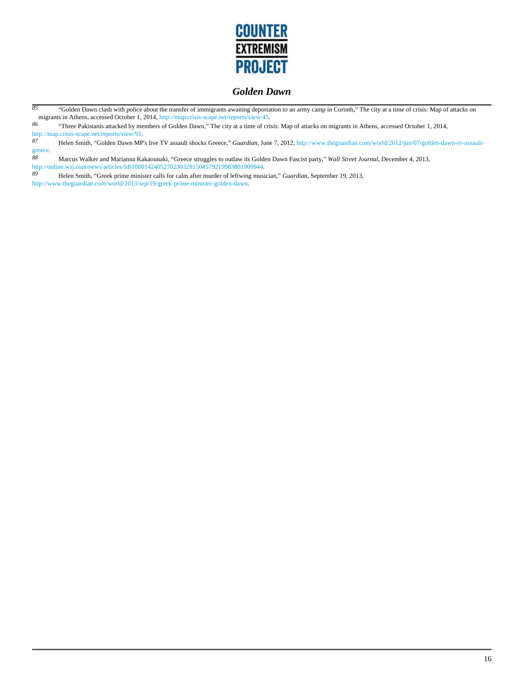

<sup>85</sup> "Golden Dawn clash with police about the transfer of immigrants awaiting deportation to an army camp in Corinth," The city at a time of crisis: Map of attacks on migrants in Athens, accessed October 1, 2014, http://map.crisis-scape.net/reports/view<br> $\frac{86}{15}$ . "Three Pakistanis attacked by members of Golden Dayn". The city at a time of

*86* "Three Pakistanis attacked by members of Golden Dawn," The city at a time of crisis: Map of attacks on migrants in Athens, accessed October 1, 2014, http://map.crisis-scape.net/reports/view/91.<br>87 Holen Smith "Golden Dawn MP

*87* Helen Smith, "Golden Dawn MP's live TV assault shocks Greece," *Guardian*, June 7, 2012, http://www.theguardian.com/world/2012/jun/07/golden-dawn-tv-assaultgreece.<br>88

*88* Marcus Walker and Marianna Kakaounaki, "Greece struggles to outlaw its Golden Dawn Fascist party," *Wall Street Journal*, December 4, 2013, http://online.wsj.com/news/articles/SB10001424052702303281504579219983801909944.<br>89 Helen Smith "Greek prime minister calls for calm after murder of leftwing musi

*89* Helen Smith, "Greek prime minister calls for calm after murder of leftwing musician," *Guardian*, September 19, 2013, http://www.theguardian.com/world/2013/sep/19/greek-prime-minister-golden-dawn.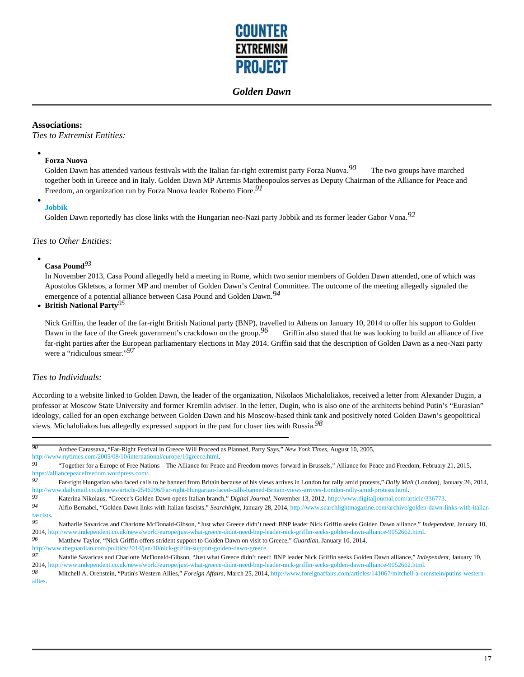

### **Associations:**

*Ties to Extremist Entities:*

### **Forza Nuova**

Golden Dawn has attended various festivals with the Italian far-right extremist party Forza Nuova.*90* The two groups have marched together both in Greece and in Italy. Golden Dawn MP Artemis Mattheopoulos serves as Deputy Chairman of the Alliance for Peace and Freedom, an organization run by Forza Nuova leader Roberto Fiore.*91*

#### **Jobbik**

Golden Dawn reportedly has close links with the Hungarian neo-Nazi party Jobbik and its former leader Gabor Vona.*92*

#### *Ties to Other Entities:*

# **Casa Pound***93*

In November 2013, Casa Pound allegedly held a meeting in Rome, which two senior members of Golden Dawn attended, one of which was Apostolos Gkletsos, a former MP and member of Golden Dawn's Central Committee. The outcome of the meeting allegedly signaled the emergence of a potential alliance between Casa Pound and Golden Dawn.*94*

#### **British National Party***95*

Nick Griffin, the leader of the far-right British National party (BNP), travelled to Athens on January 10, 2014 to offer his support to Golden Dawn in the face of the Greek government's crackdown on the group.<sup>96</sup> Griffin also stated that he was looking to build an alliance of five far-right parties after the European parliamentary elections in May 2014. Griffin said that the description of Golden Dawn as a neo-Nazi party were a "ridiculous smear."*97*

### *Ties to Individuals:*

According to a website linked to Golden Dawn, the leader of the organization, Nikolaos Michaloliakos, received a letter from Alexander Dugin, a professor at Moscow State University and former Kremlin adviser. In the letter, Dugin, who is also one of the architects behind Putin's "Eurasian" ideology, called for an open exchange between Golden Dawn and his Moscow-based think tank and positively noted Golden Dawn's geopolitical views. Michaloliakos has allegedly expressed support in the past for closer ties with Russia.*98*

| 90        | Anthee Carassava, "Far-Right Festival in Greece Will Proceed as Planned, Party Says," New York Times, August 10, 2005,                                                |
|-----------|-----------------------------------------------------------------------------------------------------------------------------------------------------------------------|
|           | http://www.nytimes.com/2005/08/10/international/europe/10greece.html.                                                                                                 |
| 91        | "Together for a Europe of Free Nations – The Alliance for Peace and Freedom moves forward in Brussels," Alliance for Peace and Freedom, February 21, 2015,            |
|           | https://alliancepeacefreedom.wordpress.com/.                                                                                                                          |
| 92        | Far-right Hungarian who faced calls to be banned from Britain because of his views arrives in London for rally amid protests," Daily Mail (London), January 26, 2014, |
|           | http://www.dailymail.co.uk/news/article-2546296/Far-right-Hungarian-faced-calls-banned-Britain-views-arrives-London-rally-amid-protests.html.                         |
| 93        | Katerina Nikolaus, "Greece's Golden Dawn opens Italian branch," Digital Journal, November 13, 2012, http://www.digitaljournal.com/article/336773.                     |
| 94        | Alfio Bernabel, "Golden Dawn links with Italian fascists," Searchlight, January 28, 2014, http://www.searchlightmagazine.com/archive/golden-dawn-links-with-italian-  |
| fascists. |                                                                                                                                                                       |
| 95        | Natharlie Savaricas and Charlotte McDonald-Gibson, "Just what Greece didn't need: BNP leader Nick Griffin seeks Golden Dawn alliance," Independent, January 10,       |
|           | 2014, http://www.independent.co.uk/news/world/europe/just-what-greece-didnt-need-bnp-leader-nick-griffin-seeks-golden-dawn-alliance-9052662.html.                     |
| 96        | Matthew Taylor, "Nick Griffin offers strident support to Golden Dawn on visit to Greece," Guardian, January 10, 2014,                                                 |
|           | http://www.theguardian.com/politics/2014/jan/10/nick-griffin-support-golden-dawn-greece.                                                                              |
| 97        | Natalie Savaricas and Charlotte McDonald-Gibson, "Just what Greece didn't need: BNP leader Nick Griffin seeks Golden Dawn alliance," Independent, January 10,         |
|           | 2014, http://www.independent.co.uk/news/world/europe/just-what-greece-didnt-need-bnp-leader-nick-griffin-seeks-golden-dawn-alliance-9052662.html.                     |
| 98        | Mitchell A. Orenstein, "Putin's Western Allies," Foreign Affairs, March 25, 2014, http://www.foreignaffairs.com/articles/141067/mitchell-a-orenstein/putins-western-  |
| allies.   |                                                                                                                                                                       |
|           |                                                                                                                                                                       |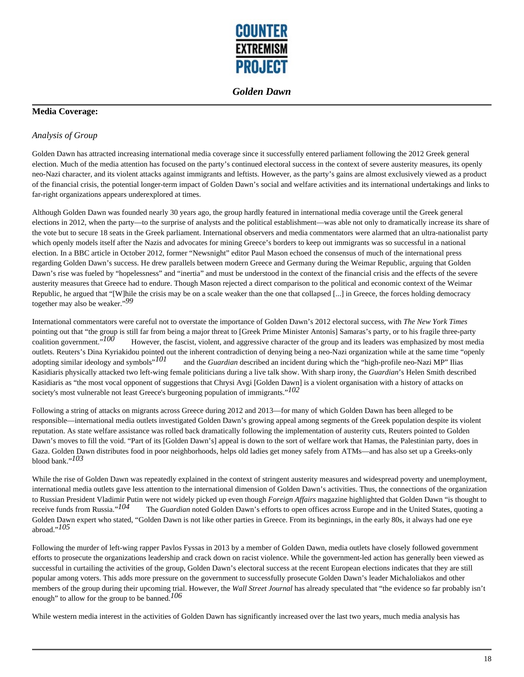

## **Media Coverage:**

## *Analysis of Group*

Golden Dawn has attracted increasing international media coverage since it successfully entered parliament following the 2012 Greek general election. Much of the media attention has focused on the party's continued electoral success in the context of severe austerity measures, its openly neo-Nazi character, and its violent attacks against immigrants and leftists. However, as the party's gains are almost exclusively viewed as a product of the financial crisis, the potential longer-term impact of Golden Dawn's social and welfare activities and its international undertakings and links to far-right organizations appears underexplored at times.

Although Golden Dawn was founded nearly 30 years ago, the group hardly featured in international media coverage until the Greek general elections in 2012, when the party—to the surprise of analysts and the political establishment—was able not only to dramatically increase its share of the vote but to secure 18 seats in the Greek parliament. International observers and media commentators were alarmed that an ultra-nationalist party which openly models itself after the Nazis and advocates for mining Greece's borders to keep out immigrants was so successful in a national election. In a BBC article in October 2012, former "Newsnight" editor Paul Mason echoed the consensus of much of the international press regarding Golden Dawn's success. He drew parallels between modern Greece and Germany during the Weimar Republic, arguing that Golden Dawn's rise was fueled by "hopelessness" and "inertia" and must be understood in the context of the financial crisis and the effects of the severe austerity measures that Greece had to endure. Though Mason rejected a direct comparison to the political and economic context of the Weimar Republic, he argued that "[W]hile the crisis may be on a scale weaker than the one that collapsed [...] in Greece, the forces holding democracy together may also be weaker."*99* 

International commentators were careful not to overstate the importance of Golden Dawn's 2012 electoral success, with *The New York Times* pointing out that "the group is still far from being a major threat to [Greek Prime Minister Antonis] Samaras's party, or to his fragile three-party coalition government."*100* However, the fascist, violent, and aggressive character of the group and its leaders was emphasized by most media outlets. Reuters's Dina Kyriakidou pointed out the inherent contradiction of denying being a neo-Nazi organization while at the same time "openly adopting similar ideology and symbols"*101* and the *Guardian* described an incident during which the "high-profile neo-Nazi MP" Ilias Kasidiaris physically attacked two left-wing female politicians during a live talk show. With sharp irony, the *Guardian*'s Helen Smith described Kasidiaris as "the most vocal opponent of suggestions that Chrysi Avgi [Golden Dawn] is a violent organisation with a history of attacks on society's most vulnerable not least Greece's burgeoning population of immigrants."*102* 

Following a string of attacks on migrants across Greece during 2012 and 2013—for many of which Golden Dawn has been alleged to be responsible—international media outlets investigated Golden Dawn's growing appeal among segments of the Greek population despite its violent reputation. As state welfare assistance was rolled back dramatically following the implementation of austerity cuts, Reuters pointed to Golden Dawn's moves to fill the void. "Part of its [Golden Dawn's] appeal is down to the sort of welfare work that Hamas, the Palestinian party, does in Gaza. Golden Dawn distributes food in poor neighborhoods, helps old ladies get money safely from ATMs—and has also set up a Greeks-only blood bank."*103* 

While the rise of Golden Dawn was repeatedly explained in the context of stringent austerity measures and widespread poverty and unemployment, international media outlets gave less attention to the international dimension of Golden Dawn's activities. Thus, the connections of the organization to Russian President Vladimir Putin were not widely picked up even though *Foreign Affairs* magazine highlighted that Golden Dawn "is thought to receive funds from Russia."<sup>104</sup> The *Guardian* noted Golden Dawn's efforts t The *Guardian* noted Golden Dawn's efforts to open offices across Europe and in the United States, quoting a Golden Dawn expert who stated, "Golden Dawn is not like other parties in Greece. From its beginnings, in the early 80s, it always had one eye abroad."*105* 

Following the murder of left-wing rapper Pavlos Fyssas in 2013 by a member of Golden Dawn, media outlets have closely followed government efforts to prosecute the organizations leadership and crack down on racist violence. While the government-led action has generally been viewed as successful in curtailing the activities of the group, Golden Dawn's electoral success at the recent European elections indicates that they are still popular among voters. This adds more pressure on the government to successfully prosecute Golden Dawn's leader Michaloliakos and other members of the group during their upcoming trial. However, the *Wall Street Journal* has already speculated that "the evidence so far probably isn't enough" to allow for the group to be banned.*106* 

While western media interest in the activities of Golden Dawn has significantly increased over the last two years, much media analysis has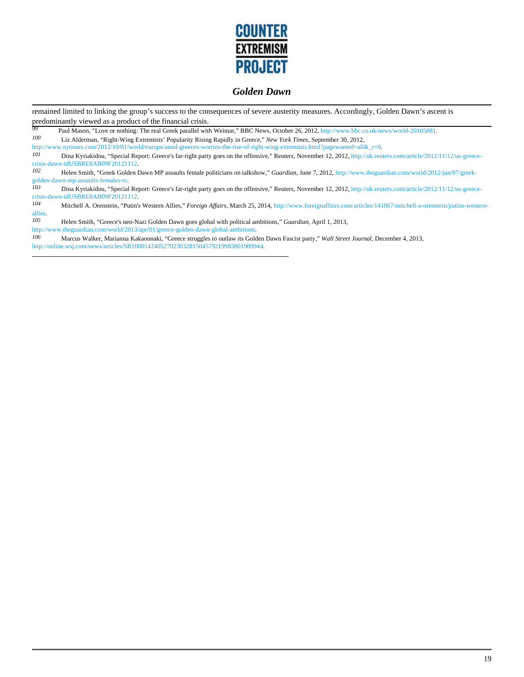

remained limited to linking the group's success to the consequences of severe austerity measures. Accordingly, Golden Dawn's ascent is predominantly viewed as a product of the financial crisis.

**Paul Mason, "Love or nothing: The real Greek parallel with Weimar," BBC News, October 26, 2012, http://www.bbc.co.uk/news/world-20105881.<br>** *100* **<b>Liz Alderman** "Right-Wing Extremists' Popularity Rising Rapidly in Greece " *100* Liz Alderman, "Right-Wing Extremists' Popularity Rising Rapidly in Greece," *New York Times*, September 30, 2012,

http://www.nytimes.com/2012/10/01/world/europe/amid-greeces-worries-the-rise-of-right-wing-extremists.html?pagewanted=all&\_r=0.<br>101 Dina Kuriakidou "Spacial Bapart: Greece's for right party goes on the offensive "Bautars,

*101* Dina Kyriakidou, "Special Report: Greece's far-right party goes on the offensive," Reuters, November 12, 2012, http://uk.reuters.com/article/2012/11/12/us-greececrisis-dawn-idUSBRE8AB09F20121112.

*102* Helen Smith, "Greek Golden Dawn MP assaults female politicians on talkshow," *Guardian*, June 7, 2012, http://www.theguardian.com/world/2012/jun/07/greekgolden-dawn-mp-assaults-females-tv<br>  $I03$  Dina Kyriakidou "Specis

*103* Dina Kyriakidou, "Special Report: Greece's far-right party goes on the offensive," Reuters, November 12, 2012, http://uk.reuters.com/article/2012/11/12/us-greececrisis-dawn-idUSBRE8AB09F20121112.

*104* Mitchell A. Orenstein, "Putin's Western Allies," *Foreign Affairs*, March 25, 2014, http://www.foreignaffairs.com/articles/141067/mitchell-a-orenstein/putins-westernallies.<br>105

*105* Helen Smith, "Greece's neo-Nazi Golden Dawn goes global with political ambitions," *Guardian*, April 1, 2013,

http://www.theguardian.com/world/2013/apr/01/greece-golden-dawn-global-ambitions.<br>106 Marcus Walker Marianna Kakaounaki "Greece struggles to outlaw its Gold *106* Marcus Walker, Marianna Kakaounaki, "Greece struggles to outlaw its Golden Dawn Fascist party," *Wall Street Journal*, December 4, 2013, http://online.wsj.com/news/articles/SB10001424052702303281504579219983801909944.